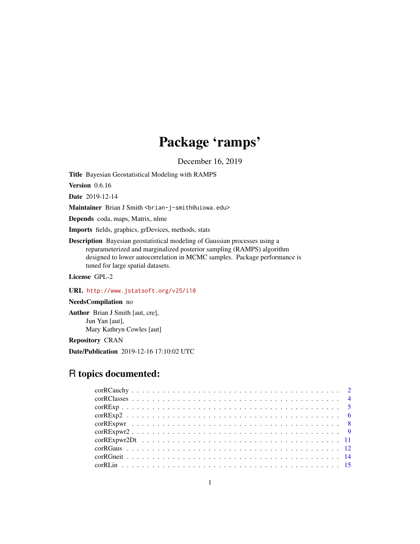# Package 'ramps'

December 16, 2019

<span id="page-0-0"></span>Title Bayesian Geostatistical Modeling with RAMPS

Version 0.6.16

Date 2019-12-14

Maintainer Brian J Smith <br ian-j-smith@uiowa.edu>

Depends coda, maps, Matrix, nlme

Imports fields, graphics, grDevices, methods, stats

Description Bayesian geostatistical modeling of Gaussian processes using a reparameterized and marginalized posterior sampling (RAMPS) algorithm designed to lower autocorrelation in MCMC samples. Package performance is tuned for large spatial datasets.

License GPL-2

## URL <http://www.jstatsoft.org/v25/i10>

## NeedsCompilation no

Author Brian J Smith [aut, cre], Jun Yan [aut], Mary Kathryn Cowles [aut]

Repository CRAN

Date/Publication 2019-12-16 17:10:02 UTC

## R topics documented: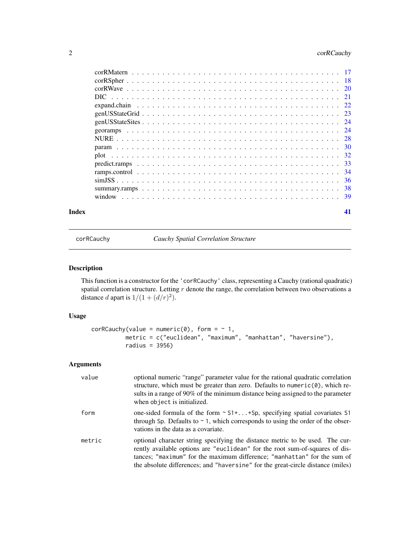## <span id="page-1-0"></span>2 corRCauchy

| Index | 41 |
|-------|----|
|       |    |
|       |    |
|       |    |
|       |    |
|       |    |
|       |    |
|       |    |
|       |    |
|       |    |
|       |    |
|       |    |
|       |    |
|       |    |
|       |    |
|       |    |
|       |    |

<span id="page-1-1"></span>corRCauchy *Cauchy Spatial Correlation Structure*

## Description

This function is a constructor for the 'corRCauchy' class, representing a Cauchy (rational quadratic) spatial correlation structure. Letting  $r$  denote the range, the correlation between two observations a distance *d* apart is  $1/(1 + (d/r)^2)$ .

## Usage

```
corRCauchy(value = numeric(0), form = ~ 1,metric = c("euclidean", "maximum", "manhattan", "haversine"),
         radius = 3956)
```
## Arguments

| value  | optional numeric "range" parameter value for the rational quadratic correlation<br>structure, which must be greater than zero. Defaults to numeric $(0)$ , which re-<br>sults in a range of 90% of the minimum distance being assigned to the parameter<br>when object is initialized.                                       |
|--------|------------------------------------------------------------------------------------------------------------------------------------------------------------------------------------------------------------------------------------------------------------------------------------------------------------------------------|
| form   | one-sided formula of the form $\sim$ S1++Sp, specifying spatial covariates S1<br>through Sp. Defaults to $\sim$ 1, which corresponds to using the order of the obser-<br>vations in the data as a covariate.                                                                                                                 |
| metric | optional character string specifying the distance metric to be used. The cur-<br>rently available options are "euclidean" for the root sum-of-squares of dis-<br>tances; "maximum" for the maximum difference; "manhattan" for the sum of<br>the absolute differences; and "haversine" for the great-circle distance (miles) |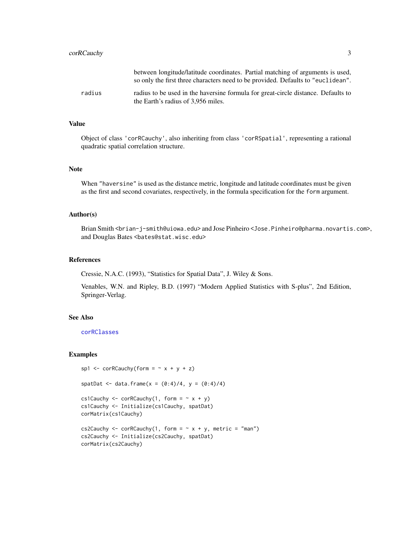<span id="page-2-0"></span>

|        | between longitude/latitude coordinates. Partial matching of arguments is used,<br>so only the first three characters need to be provided. Defaults to "euclidean". |
|--------|--------------------------------------------------------------------------------------------------------------------------------------------------------------------|
| radius | radius to be used in the haversine formula for great-circle distance. Defaults to<br>the Earth's radius of 3.956 miles.                                            |

## Value

Object of class 'corRCauchy', also inheriting from class 'corRSpatial', representing a rational quadratic spatial correlation structure.

## Note

When "haversine" is used as the distance metric, longitude and latitude coordinates must be given as the first and second covariates, respectively, in the formula specification for the form argument.

#### Author(s)

Brian Smith <brian-j-smith@uiowa.edu> and Jose Pinheiro <Jose.Pinheiro@pharma.novartis.com>, and Douglas Bates <br/>bates@stat.wisc.edu>

#### References

Cressie, N.A.C. (1993), "Statistics for Spatial Data", J. Wiley & Sons.

Venables, W.N. and Ripley, B.D. (1997) "Modern Applied Statistics with S-plus", 2nd Edition, Springer-Verlag.

## See Also

[corRClasses](#page-3-1)

## Examples

```
sp1 \leq corRCauchy(form = \sim x + y + z)
spatDat <- data.frame(x = (0:4)/4, y = (0:4)/4)
cs1Cauchy <- corRCauchy(1, form = \sim x + y)
cs1Cauchy <- Initialize(cs1Cauchy, spatDat)
corMatrix(cs1Cauchy)
cs2Cauchy <- corRCauchy(1, form = \sim x + y, metric = "man")
cs2Cauchy <- Initialize(cs2Cauchy, spatDat)
corMatrix(cs2Cauchy)
```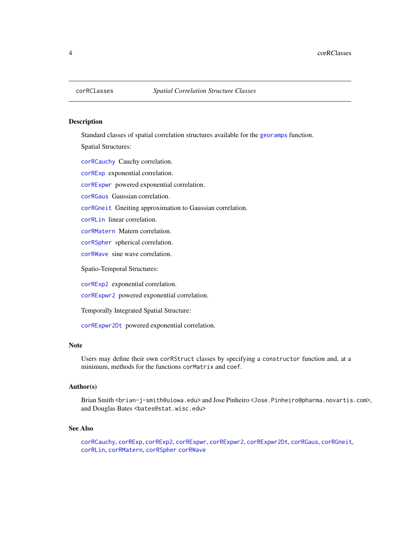<span id="page-3-1"></span><span id="page-3-0"></span>

## Description

Standard classes of spatial correlation structures available for the [georamps](#page-23-1) function.

Spatial Structures:

[corRCauchy](#page-1-1) Cauchy correlation.

[corRExp](#page-4-1) exponential correlation.

[corRExpwr](#page-7-1) powered exponential correlation.

[corRGaus](#page-11-1) Gaussian correlation.

[corRGneit](#page-13-1) Gneiting approximation to Gaussian correlation.

[corRLin](#page-14-1) linear correlation.

[corRMatern](#page-16-1) Matern correlation.

[corRSpher](#page-17-1) spherical correlation.

[corRWave](#page-19-1) sine wave correlation.

Spatio-Temporal Structures:

[corRExp2](#page-5-1) exponential correlation.

[corRExpwr2](#page-8-1) powered exponential correlation.

Temporally Integrated Spatial Structure:

[corRExpwr2Dt](#page-10-1) powered exponential correlation.

## Note

Users may define their own corRStruct classes by specifying a constructor function and, at a minimum, methods for the functions corMatrix and coef.

#### Author(s)

Brian Smith <brian-j-smith@uiowa.edu> and Jose Pinheiro <Jose.Pinheiro@pharma.novartis.com>, and Douglas Bates <br />bates@stat.wisc.edu>

## See Also

[corRCauchy](#page-1-1), [corRExp](#page-4-1), [corRExp2](#page-5-1), [corRExpwr](#page-7-1), [corRExpwr2](#page-8-1), [corRExpwr2Dt](#page-10-1), [corRGaus](#page-11-1), [corRGneit](#page-13-1), [corRLin](#page-14-1), [corRMatern](#page-16-1), [corRSpher](#page-17-1) [corRWave](#page-19-1)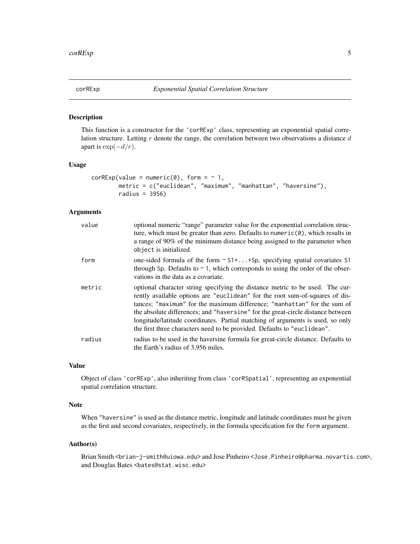<span id="page-4-1"></span><span id="page-4-0"></span>

#### Description

This function is a constructor for the 'corRExp' class, representing an exponential spatial correlation structure. Letting  $r$  denote the range, the correlation between two observations a distance  $d$ apart is  $\exp(-d/r)$ .

#### Usage

```
corRExp(value = numeric(0), form = ~ 1,metric = c("euclidean", "maximum", "manhattan", "haversine"),
       radius = 3956)
```
## Arguments

| value  | optional numeric "range" parameter value for the exponential correlation struc-<br>ture, which must be greater than zero. Defaults to numeric $(0)$ , which results in<br>a range of 90% of the minimum distance being assigned to the parameter when<br>object is initialized.                                                                                                                                                                                                            |
|--------|--------------------------------------------------------------------------------------------------------------------------------------------------------------------------------------------------------------------------------------------------------------------------------------------------------------------------------------------------------------------------------------------------------------------------------------------------------------------------------------------|
| form   | one-sided formula of the form $\sim$ S1++Sp, specifying spatial covariates S1<br>through Sp. Defaults to $\sim$ 1, which corresponds to using the order of the obser-<br>vations in the data as a covariate.                                                                                                                                                                                                                                                                               |
| metric | optional character string specifying the distance metric to be used. The cur-<br>rently available options are "euclidean" for the root sum-of-squares of dis-<br>tances; "maximum" for the maximum difference; "manhattan" for the sum of<br>the absolute differences; and "haversine" for the great-circle distance between<br>longitude/latitude coordinates. Partial matching of arguments is used, so only<br>the first three characters need to be provided. Defaults to "euclidean". |
| radius | radius to be used in the haversine formula for great-circle distance. Defaults to<br>the Earth's radius of 3,956 miles.                                                                                                                                                                                                                                                                                                                                                                    |

#### Value

Object of class 'corRExp', also inheriting from class 'corRSpatial', representing an exponential spatial correlation structure.

## Note

When "haversine" is used as the distance metric, longitude and latitude coordinates must be given as the first and second covariates, respectively, in the formula specification for the form argument.

#### Author(s)

Brian Smith <brian-j-smith@uiowa.edu> and Jose Pinheiro <Jose.Pinheiro@pharma.novartis.com>, and Douglas Bates <br/>bates@stat.wisc.edu>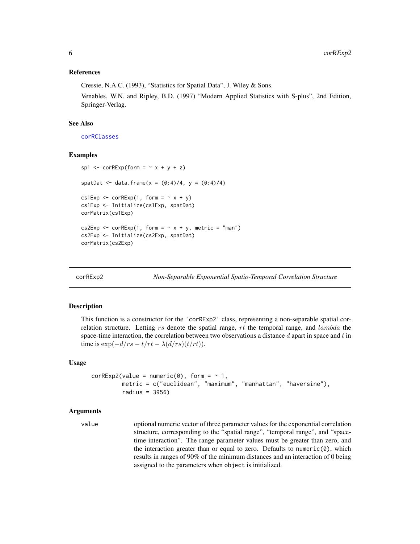#### <span id="page-5-0"></span>References

Cressie, N.A.C. (1993), "Statistics for Spatial Data", J. Wiley & Sons.

Venables, W.N. and Ripley, B.D. (1997) "Modern Applied Statistics with S-plus", 2nd Edition, Springer-Verlag.

#### See Also

[corRClasses](#page-3-1)

#### Examples

```
sp1 <- corRExp(form = x + y + z)spatDat <- data.frame(x = (0:4)/4, y = (0:4)/4)
cs1Exp \leftarrow corRExp(1, form = \sim x + y)
cs1Exp <- Initialize(cs1Exp, spatDat)
corMatrix(cs1Exp)
cs2Exp \le -\ncorRExp(1, form = \sim x + y, metric = "man")cs2Exp <- Initialize(cs2Exp, spatDat)
corMatrix(cs2Exp)
```
<span id="page-5-1"></span>

corRExp2 *Non-Separable Exponential Spatio-Temporal Correlation Structure*

## **Description**

This function is a constructor for the 'corRExp2' class, representing a non-separable spatial correlation structure. Letting  $rs$  denote the spatial range,  $rt$  the temporal range, and lambda the space-time interaction, the correlation between two observations a distance  $d$  apart in space and  $t$  in time is  $\exp(-d/rs - t/rt - \lambda(d/rs)(t/rt)).$ 

#### Usage

```
corRExp2(value = numeric(0), form = ~ 1,metric = c("euclidean", "maximum", "manhattan", "haversine"),
        radius = 3956)
```
#### Arguments

```
value optional numeric vector of three parameter values for the exponential correlation
                  structure, corresponding to the "spatial range", "temporal range", and "space-
                  time interaction". The range parameter values must be greater than zero, and
                  the interaction greater than or equal to zero. Defaults to numeric(0), which
                  results in ranges of 90% of the minimum distances and an interaction of 0 being
                  assigned to the parameters when object is initialized.
```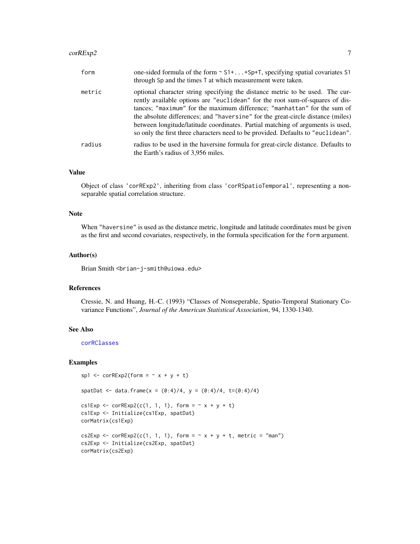#### <span id="page-6-0"></span> $corRExp2$  7

| form   | one-sided formula of the form ~ S1+ +Sp+T, specifying spatial covariates S1<br>through Sp and the times T at which measurement were taken.                                                                                                                                                                                                                                                                                                                                                         |
|--------|----------------------------------------------------------------------------------------------------------------------------------------------------------------------------------------------------------------------------------------------------------------------------------------------------------------------------------------------------------------------------------------------------------------------------------------------------------------------------------------------------|
| metric | optional character string specifying the distance metric to be used. The cur-<br>rently available options are "euclidean" for the root sum-of-squares of dis-<br>tances; "maximum" for the maximum difference; "manhattan" for the sum of<br>the absolute differences; and "haversine" for the great-circle distance (miles)<br>between longitude/latitude coordinates. Partial matching of arguments is used,<br>so only the first three characters need to be provided. Defaults to "euclidean". |
| radius | radius to be used in the haversine formula for great-circle distance. Defaults to<br>the Earth's radius of 3,956 miles.                                                                                                                                                                                                                                                                                                                                                                            |

#### Value

Object of class 'corRExp2', inheriting from class 'corRSpatioTemporal', representing a nonseparable spatial correlation structure.

#### Note

When "haversine" is used as the distance metric, longitude and latitude coordinates must be given as the first and second covariates, respectively, in the formula specification for the form argument.

#### Author(s)

Brian Smith <brian-j-smith@uiowa.edu>

#### References

Cressie, N. and Huang, H.-C. (1993) "Classes of Nonseperable, Spatio-Temporal Stationary Covariance Functions", *Journal of the American Statistical Association*, 94, 1330-1340.

#### See Also

[corRClasses](#page-3-1)

## Examples

```
sp1 <- corRExp2(form = \sim x + y + t)
spatDat <- data.frame(x = (0:4)/4, y = (0:4)/4, t=(0:4)/4)
cs1Exp <- corRExp2(c(1, 1, 1), form = \sim x + y + t)
cs1Exp <- Initialize(cs1Exp, spatDat)
corMatrix(cs1Exp)
cs2Exp <- corRExp2(c(1, 1, 1), form = \sim x + y + t, metric = "man")
cs2Exp <- Initialize(cs2Exp, spatDat)
corMatrix(cs2Exp)
```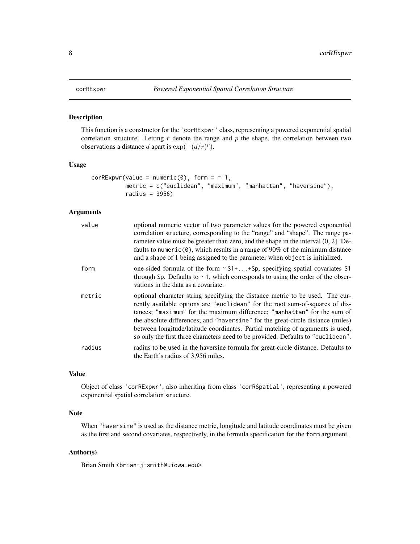## Description

This function is a constructor for the 'corRExpwr' class, representing a powered exponential spatial correlation structure. Letting  $r$  denote the range and  $p$  the shape, the correlation between two observations a distance d apart is  $\exp(-(d/r)^p)$ .

#### Usage

```
corRExpwr(value = numeric(0), form = ~ 1,metric = c("euclidean", "maximum", "manhattan", "haversine"),
          radius = 3956)
```
## Arguments

| value  | optional numeric vector of two parameter values for the powered exponential<br>correlation structure, corresponding to the "range" and "shape". The range pa-<br>rameter value must be greater than zero, and the shape in the interval (0, 2]. De-<br>faults to numeric( $\theta$ ), which results in a range of 90% of the minimum distance<br>and a shape of 1 being assigned to the parameter when object is initialized.                                                                      |
|--------|----------------------------------------------------------------------------------------------------------------------------------------------------------------------------------------------------------------------------------------------------------------------------------------------------------------------------------------------------------------------------------------------------------------------------------------------------------------------------------------------------|
| form   | one-sided formula of the form $\sim$ S1++Sp, specifying spatial covariates S1<br>through Sp. Defaults to $\sim$ 1, which corresponds to using the order of the obser-<br>vations in the data as a covariate.                                                                                                                                                                                                                                                                                       |
| metric | optional character string specifying the distance metric to be used. The cur-<br>rently available options are "euclidean" for the root sum-of-squares of dis-<br>tances; "maximum" for the maximum difference; "manhattan" for the sum of<br>the absolute differences; and "haversine" for the great-circle distance (miles)<br>between longitude/latitude coordinates. Partial matching of arguments is used,<br>so only the first three characters need to be provided. Defaults to "euclidean". |
| radius | radius to be used in the haversine formula for great-circle distance. Defaults to<br>the Earth's radius of 3,956 miles.                                                                                                                                                                                                                                                                                                                                                                            |

## Value

Object of class 'corRExpwr', also inheriting from class 'corRSpatial', representing a powered exponential spatial correlation structure.

## Note

When "haversine" is used as the distance metric, longitude and latitude coordinates must be given as the first and second covariates, respectively, in the formula specification for the form argument.

#### Author(s)

Brian Smith <br ian-j-smith@uiowa.edu>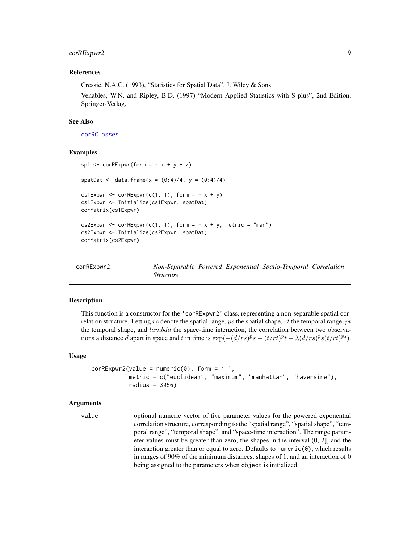## <span id="page-8-0"></span>corRExpwr2 9

## References

Cressie, N.A.C. (1993), "Statistics for Spatial Data", J. Wiley & Sons.

Venables, W.N. and Ripley, B.D. (1997) "Modern Applied Statistics with S-plus", 2nd Edition, Springer-Verlag.

## See Also

[corRClasses](#page-3-1)

#### Examples

```
sp1 \le corRExpwr(form = \le x + y + z)
spatDat <- data.frame(x = (0:4)/4, y = (0:4)/4)
cs1Expwr <- corRExpwr(c(1, 1), form = \sim x + y)
cs1Expwr <- Initialize(cs1Expwr, spatDat)
corMatrix(cs1Expwr)
cs2Expwr <- corRExpwr(c(1, 1), form = \sim x + y, metric = "man")
cs2Expwr <- Initialize(cs2Expwr, spatDat)
corMatrix(cs2Expwr)
```
<span id="page-8-1"></span>

| corRExpwr2 |                  |  | Non-Separable Powered Exponential Spatio-Temporal Correlation |  |
|------------|------------------|--|---------------------------------------------------------------|--|
|            | <i>Structure</i> |  |                                                               |  |

#### Description

This function is a constructor for the 'corRExpwr2' class, representing a non-separable spatial correlation structure. Letting rs denote the spatial range, ps the spatial shape, rt the temporal range, pt the temporal shape, and  $lambda$  the space-time interaction, the correlation between two observations a distance d apart in space and t in time is  $\exp(-(d/r s)^p s - (t/rt)^p t - \lambda (d/r s)^p s (t/rt)^p t)$ .

#### Usage

```
corRExpwr2(value = numeric(0), form = ~ 1,metric = c("euclidean", "maximum", "manhattan", "haversine"),
           radius = 3956)
```
#### Arguments

```
value optional numeric vector of five parameter values for the powered exponential
                  correlation structure, corresponding to the "spatial range", "spatial shape", "tem-
                  poral range", "temporal shape", and "space-time interaction". The range param-
                  eter values must be greater than zero, the shapes in the interval (0, 2], and the
                  interaction greater than or equal to zero. Defaults to numeric(0), which results
                  in ranges of 90% of the minimum distances, shapes of 1, and an interaction of 0
                  being assigned to the parameters when object is initialized.
```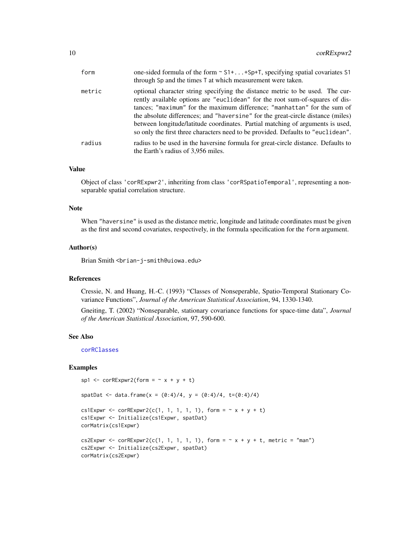<span id="page-9-0"></span>

| form   | one-sided formula of the form $\sim$ S1++Sp+T, specifying spatial covariates S1<br>through Sp and the times T at which measurement were taken.                                                                                                                                                                                                                                                                                                                                                     |
|--------|----------------------------------------------------------------------------------------------------------------------------------------------------------------------------------------------------------------------------------------------------------------------------------------------------------------------------------------------------------------------------------------------------------------------------------------------------------------------------------------------------|
| metric | optional character string specifying the distance metric to be used. The cur-<br>rently available options are "euclidean" for the root sum-of-squares of dis-<br>tances; "maximum" for the maximum difference; "manhattan" for the sum of<br>the absolute differences; and "haversine" for the great-circle distance (miles)<br>between longitude/latitude coordinates. Partial matching of arguments is used,<br>so only the first three characters need to be provided. Defaults to "euclidean". |
| radius | radius to be used in the haversine formula for great-circle distance. Defaults to<br>the Earth's radius of 3,956 miles.                                                                                                                                                                                                                                                                                                                                                                            |

## Value

Object of class 'corRExpwr2', inheriting from class 'corRSpatioTemporal', representing a nonseparable spatial correlation structure.

#### Note

When "haversine" is used as the distance metric, longitude and latitude coordinates must be given as the first and second covariates, respectively, in the formula specification for the form argument.

#### Author(s)

Brian Smith <brian-j-smith@uiowa.edu>

#### References

Cressie, N. and Huang, H.-C. (1993) "Classes of Nonseperable, Spatio-Temporal Stationary Covariance Functions", *Journal of the American Statistical Association*, 94, 1330-1340.

Gneiting, T. (2002) "Nonseparable, stationary covariance functions for space-time data", *Journal of the American Statistical Association*, 97, 590-600.

## See Also

[corRClasses](#page-3-1)

#### Examples

```
sp1 <- corRExpwr2(form = \sim x + y + t)
spatDat <- data.frame(x = (0:4)/4, y = (0:4)/4, t=(0:4)/4)
cs1Expwr <- corRExpwr2(c(1, 1, 1, 1, 1), form = \sim x + y + t)
cs1Expwr <- Initialize(cs1Expwr, spatDat)
corMatrix(cs1Expwr)
cs2Expwr <- corRExpwr2(c(1, 1, 1, 1, 1), form = \sim x + y + t, metric = "man")
cs2Expwr <- Initialize(cs2Expwr, spatDat)
corMatrix(cs2Expwr)
```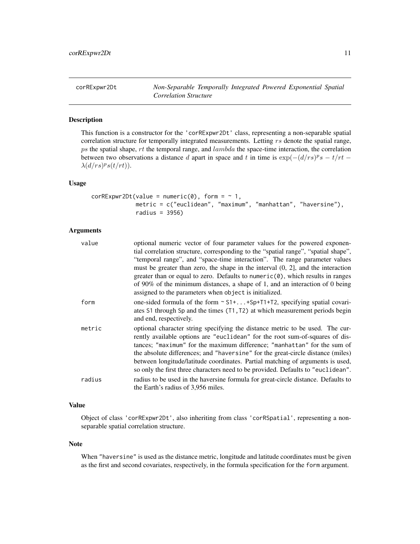<span id="page-10-1"></span><span id="page-10-0"></span>corRExpwr2Dt *Non-Separable Temporally Integrated Powered Exponential Spatial Correlation Structure*

## Description

This function is a constructor for the 'corRExpwr2Dt' class, representing a non-separable spatial correlation structure for temporally integrated measurements. Letting rs denote the spatial range, ps the spatial shape,  $rt$  the temporal range, and  $lambda$  the space-time interaction, the correlation between two observations a distance d apart in space and t in time is  $\exp(-(d/r_s)^p s - t/rt \lambda(d/rs)^ps(t/rt)$ ).

#### Usage

```
corRExpwr2Dt(value = numeric(0), form = \sim 1,
             metric = c("euclidean", "maximum", "manhattan", "haversine"),
             radius = 3956)
```
## Arguments

| value  | optional numeric vector of four parameter values for the powered exponen-                  |
|--------|--------------------------------------------------------------------------------------------|
|        | tial correlation structure, corresponding to the "spatial range", "spatial shape",         |
|        | "temporal range", and "space-time interaction". The range parameter values                 |
|        | must be greater than zero, the shape in the interval $(0, 2]$ , and the interaction        |
|        | greater than or equal to zero. Defaults to numeric( $\emptyset$ ), which results in ranges |
|        | of 90% of the minimum distances, a shape of 1, and an interaction of 0 being               |
|        | assigned to the parameters when object is initialized.                                     |
| form   | one-sided formula of the form $\sim$ S1++Sp+T1+T2, specifying spatial covari-              |
|        | ates S1 through Sp and the times (T1, T2) at which measurement periods begin               |
|        | and end, respectively.                                                                     |
| metric | optional character string specifying the distance metric to be used. The cur-              |
|        | rently available options are "euclidean" for the root sum-of-squares of dis-               |
|        | tances; "maximum" for the maximum difference; "manhattan" for the sum of                   |
|        | the absolute differences; and "haversine" for the great-circle distance (miles)            |
|        | between longitude/latitude coordinates. Partial matching of arguments is used,             |
|        | so only the first three characters need to be provided. Defaults to "euclidean".           |
| radius | radius to be used in the haversine formula for great-circle distance. Defaults to          |
|        | the Earth's radius of 3,956 miles.                                                         |
|        |                                                                                            |

## Value

Object of class 'corRExpwr2Dt', also inheriting from class 'corRSpatial', representing a nonseparable spatial correlation structure.

#### Note

When "haversine" is used as the distance metric, longitude and latitude coordinates must be given as the first and second covariates, respectively, in the formula specification for the form argument.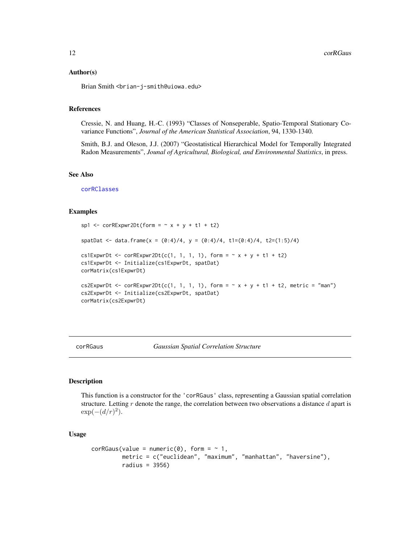#### <span id="page-11-0"></span>Author(s)

Brian Smith <brian-j-smith@uiowa.edu>

## References

Cressie, N. and Huang, H.-C. (1993) "Classes of Nonseperable, Spatio-Temporal Stationary Covariance Functions", *Journal of the American Statistical Association*, 94, 1330-1340.

Smith, B.J. and Oleson, J.J. (2007) "Geostatistical Hierarchical Model for Temporally Integrated Radon Measurements", *Jounal of Agricultural, Biological, and Environmental Statistics*, in press.

#### See Also

[corRClasses](#page-3-1)

#### Examples

```
sp1 <- corRExpwr2Dt(form = \sim x + y + t1 + t2)
spatDat <- data.frame(x = (0:4)/4, y = (0:4)/4, t1=(0:4)/4, t2=(1:5)/4)
cs1ExpwrDt <- corRExpwr2Dt(c(1, 1, 1, 1), form = \sim x + y + t1 + t2)
cs1ExpwrDt <- Initialize(cs1ExpwrDt, spatDat)
corMatrix(cs1ExpwrDt)
cs2ExpwrDt <- corRExpwr2Dt(c(1, 1, 1, 1), form = \sim x + y + t1 + t2, metric = "man")
cs2ExpwrDt <- Initialize(cs2ExpwrDt, spatDat)
corMatrix(cs2ExpwrDt)
```
<span id="page-11-1"></span>corRGaus *Gaussian Spatial Correlation Structure*

## Description

This function is a constructor for the 'corRGaus' class, representing a Gaussian spatial correlation structure. Letting  $r$  denote the range, the correlation between two observations a distance  $d$  apart is  $\exp(-(d/r)^2)$ .

## Usage

```
corRGaus(value = numeric(0), form = ~ 1,metric = c("euclidean", "maximum", "manhattan", "haversine"),
        radius = 3956)
```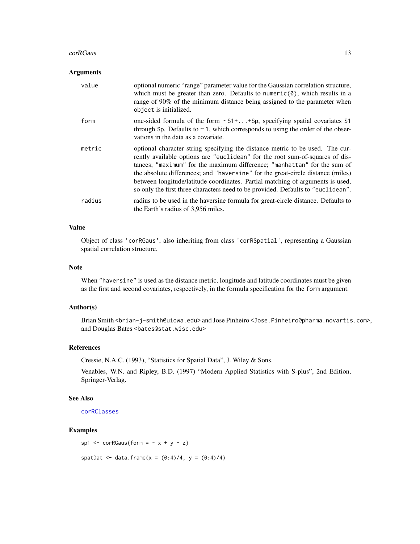#### <span id="page-12-0"></span>corRGaus 13

#### Arguments

| value  | optional numeric "range" parameter value for the Gaussian correlation structure,<br>which must be greater than zero. Defaults to numeric $(0)$ , which results in a<br>range of 90% of the minimum distance being assigned to the parameter when<br>object is initialized.                                                                                                                                                                                                                         |
|--------|----------------------------------------------------------------------------------------------------------------------------------------------------------------------------------------------------------------------------------------------------------------------------------------------------------------------------------------------------------------------------------------------------------------------------------------------------------------------------------------------------|
| form   | one-sided formula of the form $\sim$ S1++Sp, specifying spatial covariates S1<br>through Sp. Defaults to $\sim$ 1, which corresponds to using the order of the obser-<br>vations in the data as a covariate.                                                                                                                                                                                                                                                                                       |
| metric | optional character string specifying the distance metric to be used. The cur-<br>rently available options are "euclidean" for the root sum-of-squares of dis-<br>tances; "maximum" for the maximum difference; "manhattan" for the sum of<br>the absolute differences; and "haversine" for the great-circle distance (miles)<br>between longitude/latitude coordinates. Partial matching of arguments is used,<br>so only the first three characters need to be provided. Defaults to "euclidean". |
| radius | radius to be used in the haversine formula for great-circle distance. Defaults to<br>the Earth's radius of 3,956 miles.                                                                                                                                                                                                                                                                                                                                                                            |

## Value

Object of class 'corRGaus', also inheriting from class 'corRSpatial', representing a Gaussian spatial correlation structure.

## Note

When "haversine" is used as the distance metric, longitude and latitude coordinates must be given as the first and second covariates, respectively, in the formula specification for the form argument.

## Author(s)

Brian Smith <brian-j-smith@uiowa.edu> and Jose Pinheiro <Jose.Pinheiro@pharma.novartis.com>, and Douglas Bates <br/>bates@stat.wisc.edu>

## References

Cressie, N.A.C. (1993), "Statistics for Spatial Data", J. Wiley & Sons.

Venables, W.N. and Ripley, B.D. (1997) "Modern Applied Statistics with S-plus", 2nd Edition, Springer-Verlag.

#### See Also

[corRClasses](#page-3-1)

## Examples

```
sp1 <- corRGaus(form = \sim x + y + z)
```
spatDat <- data.frame(x =  $(0:4)/4$ , y =  $(0:4)/4$ )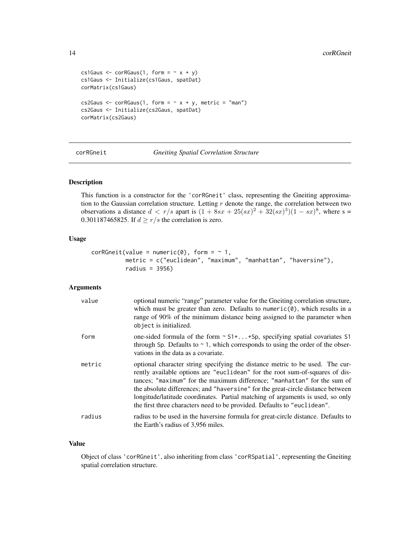```
cs1Gaus \leq corRGaus(1, form = \sim x + y)
cs1Gaus <- Initialize(cs1Gaus, spatDat)
corMatrix(cs1Gaus)
cs2Gaus \leq corRGaus(1, form = \sim x + y, metric = "man")
cs2Gaus <- Initialize(cs2Gaus, spatDat)
corMatrix(cs2Gaus)
```
<span id="page-13-1"></span>corRGneit *Gneiting Spatial Correlation Structure*

## Description

This function is a constructor for the 'corRGneit' class, representing the Gneiting approximation to the Gaussian correlation structure. Letting  $r$  denote the range, the correlation between two observations a distance  $d < r/s$  apart is  $(1 + 8sx + 25(sx)^2 + 32(sx)^3)(1 - sx)^8$ , where s = 0.301187465825. If  $d \ge r/s$  the correlation is zero.

## Usage

```
corRGeneit(value = numeric(0), form = ~ 1,metric = c("euclidean", "maximum", "manhattan", "haversine"),
          radius = 3956)
```
## Arguments

| value  | optional numeric "range" parameter value for the Gneiting correlation structure,<br>which must be greater than zero. Defaults to numeric $(0)$ , which results in a<br>range of 90% of the minimum distance being assigned to the parameter when<br>object is initialized.                                                                                                                                                                                                                 |
|--------|--------------------------------------------------------------------------------------------------------------------------------------------------------------------------------------------------------------------------------------------------------------------------------------------------------------------------------------------------------------------------------------------------------------------------------------------------------------------------------------------|
| form   | one-sided formula of the form $\sim$ S1++Sp, specifying spatial covariates S1<br>through Sp. Defaults to $\sim$ 1, which corresponds to using the order of the obser-<br>vations in the data as a covariate.                                                                                                                                                                                                                                                                               |
| metric | optional character string specifying the distance metric to be used. The cur-<br>rently available options are "euclidean" for the root sum-of-squares of dis-<br>tances; "maximum" for the maximum difference; "manhattan" for the sum of<br>the absolute differences; and "haversine" for the great-circle distance between<br>longitude/latitude coordinates. Partial matching of arguments is used, so only<br>the first three characters need to be provided. Defaults to "euclidean". |
| radius | radius to be used in the haversine formula for great-circle distance. Defaults to<br>the Earth's radius of 3,956 miles.                                                                                                                                                                                                                                                                                                                                                                    |

#### Value

Object of class 'corRGneit', also inheriting from class 'corRSpatial', representing the Gneiting spatial correlation structure.

<span id="page-13-0"></span>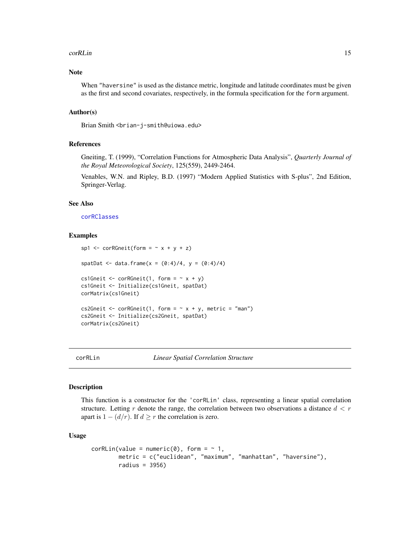#### <span id="page-14-0"></span>corRLin 15

## Note

When "haversine" is used as the distance metric, longitude and latitude coordinates must be given as the first and second covariates, respectively, in the formula specification for the form argument.

## Author(s)

Brian Smith <brian-j-smith@uiowa.edu>

## References

Gneiting, T. (1999), "Correlation Functions for Atmospheric Data Analysis", *Quarterly Journal of the Royal Meteorological Society*, 125(559), 2449-2464.

Venables, W.N. and Ripley, B.D. (1997) "Modern Applied Statistics with S-plus", 2nd Edition, Springer-Verlag.

## See Also

[corRClasses](#page-3-1)

#### Examples

```
sp1 <- corRGneit(form = \sim x + y + z)
spatDat <- data.frame(x = (0:4)/4, y = (0:4)/4)
cs1Gneit \leq corRGneit(1, form = \sim x + y)
cs1Gneit <- Initialize(cs1Gneit, spatDat)
corMatrix(cs1Gneit)
cs2Gneit \leq corRGneit(1, form = \sim x + y, metric = "man")
cs2Gneit <- Initialize(cs2Gneit, spatDat)
corMatrix(cs2Gneit)
```
<span id="page-14-1"></span>

```
corRLin Linear Spatial Correlation Structure
```
#### Description

This function is a constructor for the 'corRLin' class, representing a linear spatial correlation structure. Letting r denote the range, the correlation between two observations a distance  $d < r$ apart is  $1 - (d/r)$ . If  $d \geq r$  the correlation is zero.

#### Usage

```
corRLin(value = numeric(0), form = ~ 1,metric = c("euclidean", "maximum", "manhattan", "haversine"),
       radius = 3956)
```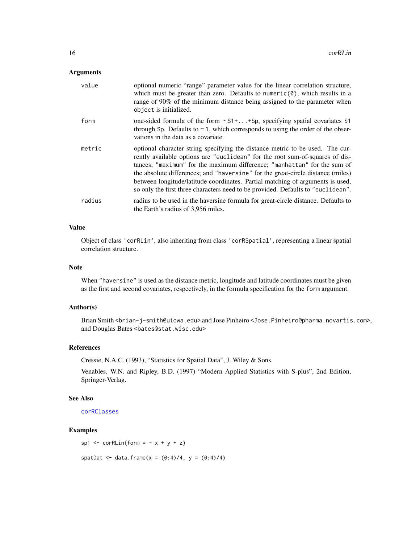#### <span id="page-15-0"></span>Arguments

| value  | optional numeric "range" parameter value for the linear correlation structure,<br>which must be greater than zero. Defaults to numeric $(0)$ , which results in a<br>range of 90% of the minimum distance being assigned to the parameter when<br>object is initialized.                                                                                                                                                                                                                           |
|--------|----------------------------------------------------------------------------------------------------------------------------------------------------------------------------------------------------------------------------------------------------------------------------------------------------------------------------------------------------------------------------------------------------------------------------------------------------------------------------------------------------|
| form   | one-sided formula of the form $\sim$ S1++Sp, specifying spatial covariates S1<br>through Sp. Defaults to $\sim$ 1, which corresponds to using the order of the obser-<br>vations in the data as a covariate.                                                                                                                                                                                                                                                                                       |
| metric | optional character string specifying the distance metric to be used. The cur-<br>rently available options are "euclidean" for the root sum-of-squares of dis-<br>tances; "maximum" for the maximum difference; "manhattan" for the sum of<br>the absolute differences; and "haversine" for the great-circle distance (miles)<br>between longitude/latitude coordinates. Partial matching of arguments is used,<br>so only the first three characters need to be provided. Defaults to "euclidean". |
| radius | radius to be used in the haversine formula for great-circle distance. Defaults to<br>the Earth's radius of 3,956 miles.                                                                                                                                                                                                                                                                                                                                                                            |

## Value

Object of class 'corRLin', also inheriting from class 'corRSpatial', representing a linear spatial correlation structure.

## Note

When "haversine" is used as the distance metric, longitude and latitude coordinates must be given as the first and second covariates, respectively, in the formula specification for the form argument.

## Author(s)

Brian Smith <brian-j-smith@uiowa.edu> and Jose Pinheiro <Jose.Pinheiro@pharma.novartis.com>, and Douglas Bates <br/>bates@stat.wisc.edu>

## References

Cressie, N.A.C. (1993), "Statistics for Spatial Data", J. Wiley & Sons.

Venables, W.N. and Ripley, B.D. (1997) "Modern Applied Statistics with S-plus", 2nd Edition, Springer-Verlag.

#### See Also

[corRClasses](#page-3-1)

## Examples

sp1 <-  $corRLin(form = ~ x + y + z)$ 

spatDat <- data.frame(x =  $(0:4)/4$ , y =  $(0:4)/4$ )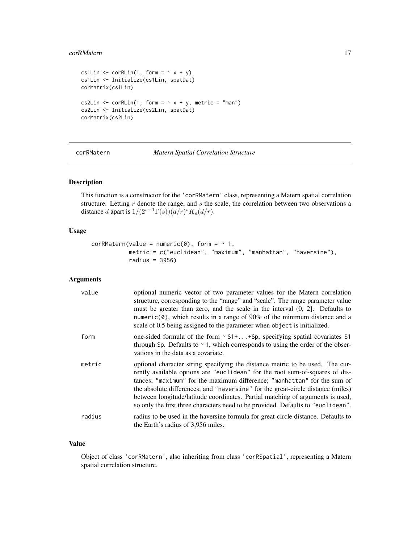#### <span id="page-16-0"></span>corRMatern 17

```
cs1Lin \le corRLin(1, form = \le x + y)
cs1Lin <- Initialize(cs1Lin, spatDat)
corMatrix(cs1Lin)
cs2Lin \le - corRLin(1, form = \sim x + y, metric = "man")
cs2Lin <- Initialize(cs2Lin, spatDat)
corMatrix(cs2Lin)
```
## <span id="page-16-1"></span>corRMatern *Matern Spatial Correlation Structure*

## Description

This function is a constructor for the 'corRMatern' class, representing a Matern spatial correlation structure. Letting  $r$  denote the range, and  $s$  the scale, the correlation between two observations a distance d apart is  $1/(2^{s-1}\Gamma(s))(d/r)^sK_s(d/r)$ .

## Usage

```
corRMatern(value = numeric(0), form = ~ 1,metric = c("euclidean", "maximum", "manhattan", "haversine"),
           radius = 3956)
```
## Arguments

| value  | optional numeric vector of two parameter values for the Matern correlation<br>structure, corresponding to the "range" and "scale". The range parameter value<br>must be greater than zero, and the scale in the interval $(0, 2]$ . Defaults to<br>numeric( $\theta$ ), which results in a range of 90% of the minimum distance and a<br>scale of 0.5 being assigned to the parameter when object is initialized.                                                                                  |
|--------|----------------------------------------------------------------------------------------------------------------------------------------------------------------------------------------------------------------------------------------------------------------------------------------------------------------------------------------------------------------------------------------------------------------------------------------------------------------------------------------------------|
| form   | one-sided formula of the form $\sim$ S1++Sp, specifying spatial covariates S1<br>through Sp. Defaults to $\sim$ 1, which corresponds to using the order of the obser-<br>vations in the data as a covariate.                                                                                                                                                                                                                                                                                       |
| metric | optional character string specifying the distance metric to be used. The cur-<br>rently available options are "euclidean" for the root sum-of-squares of dis-<br>tances; "maximum" for the maximum difference; "manhattan" for the sum of<br>the absolute differences; and "haversine" for the great-circle distance (miles)<br>between longitude/latitude coordinates. Partial matching of arguments is used,<br>so only the first three characters need to be provided. Defaults to "euclidean". |
| radius | radius to be used in the haversine formula for great-circle distance. Defaults to<br>the Earth's radius of 3,956 miles.                                                                                                                                                                                                                                                                                                                                                                            |

#### Value

Object of class 'corRMatern', also inheriting from class 'corRSpatial', representing a Matern spatial correlation structure.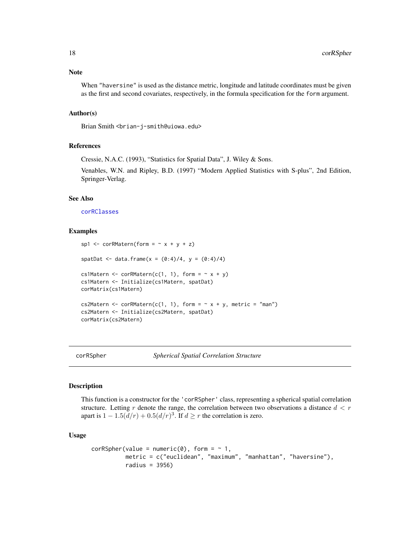## <span id="page-17-0"></span>Note

When "haversine" is used as the distance metric, longitude and latitude coordinates must be given as the first and second covariates, respectively, in the formula specification for the form argument.

## Author(s)

Brian Smith <br ian-j-smith@uiowa.edu>

## References

Cressie, N.A.C. (1993), "Statistics for Spatial Data", J. Wiley & Sons.

Venables, W.N. and Ripley, B.D. (1997) "Modern Applied Statistics with S-plus", 2nd Edition, Springer-Verlag.

## See Also

[corRClasses](#page-3-1)

## Examples

```
sp1 <- corRMatern(form = \sim x + y + z)
spatDat <- data.frame(x = (0:4)/4, y = (0:4)/4)
cs1Matern <- corRMatern(c(1, 1), form = \sim x + y)
cs1Matern <- Initialize(cs1Matern, spatDat)
corMatrix(cs1Matern)
cs2Matern <- corRMatern(c(1, 1), form = \sim x + y, metric = "man")
cs2Matern <- Initialize(cs2Matern, spatDat)
corMatrix(cs2Matern)
```
<span id="page-17-1"></span>corRSpher *Spherical Spatial Correlation Structure*

#### **Description**

This function is a constructor for the 'corRSpher' class, representing a spherical spatial correlation structure. Letting r denote the range, the correlation between two observations a distance  $d < r$ apart is  $1 - 1.5(d/r) + 0.5(d/r)^3$ . If  $d \ge r$  the correlation is zero.

#### Usage

```
corRSpher(value = numeric(0), form = ~ 1,metric = c("euclidean", "maximum", "manhattan", "haversine"),
         radius = 3956)
```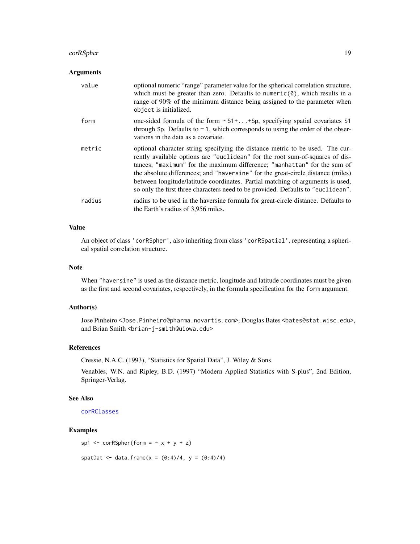## <span id="page-18-0"></span>corRSpher 19

## Arguments

| value  | optional numeric "range" parameter value for the spherical correlation structure,<br>which must be greater than zero. Defaults to numeric $(0)$ , which results in a<br>range of 90% of the minimum distance being assigned to the parameter when<br>object is initialized.                                                                                                                                                                                                                        |
|--------|----------------------------------------------------------------------------------------------------------------------------------------------------------------------------------------------------------------------------------------------------------------------------------------------------------------------------------------------------------------------------------------------------------------------------------------------------------------------------------------------------|
| form   | one-sided formula of the form $\sim$ S1++Sp, specifying spatial covariates S1<br>through Sp. Defaults to $\sim$ 1, which corresponds to using the order of the obser-<br>vations in the data as a covariate.                                                                                                                                                                                                                                                                                       |
| metric | optional character string specifying the distance metric to be used. The cur-<br>rently available options are "euclidean" for the root sum-of-squares of dis-<br>tances; "maximum" for the maximum difference; "manhattan" for the sum of<br>the absolute differences; and "haversine" for the great-circle distance (miles)<br>between longitude/latitude coordinates. Partial matching of arguments is used,<br>so only the first three characters need to be provided. Defaults to "euclidean". |
| radius | radius to be used in the haversine formula for great-circle distance. Defaults to<br>the Earth's radius of 3,956 miles.                                                                                                                                                                                                                                                                                                                                                                            |

## Value

An object of class 'corRSpher', also inheriting from class 'corRSpatial', representing a spherical spatial correlation structure.

## Note

When "haversine" is used as the distance metric, longitude and latitude coordinates must be given as the first and second covariates, respectively, in the formula specification for the form argument.

## Author(s)

Jose Pinheiro <Jose.Pinheiro@pharma.novartis.com>, Douglas Bates <bates@stat.wisc.edu>, and Brian Smith <br />brian-j-smith@uiowa.edu>

## References

Cressie, N.A.C. (1993), "Statistics for Spatial Data", J. Wiley & Sons.

Venables, W.N. and Ripley, B.D. (1997) "Modern Applied Statistics with S-plus", 2nd Edition, Springer-Verlag.

#### See Also

[corRClasses](#page-3-1)

## Examples

```
sp1 <- corRSpher(form = \sim x + y + z)
```
spatDat <- data.frame(x =  $(0:4)/4$ , y =  $(0:4)/4$ )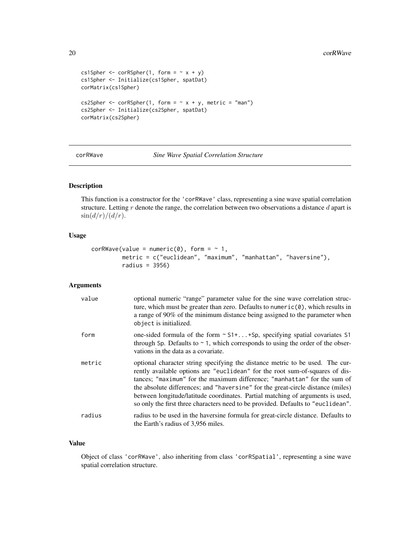```
cs1Spher \leq corRSpher(1, form = \sim x + y)
cs1Spher <- Initialize(cs1Spher, spatDat)
corMatrix(cs1Spher)
cs2Spher \leq corRSpher(1, form = \sim x + y, metric = "man")
cs2Spher <- Initialize(cs2Spher, spatDat)
corMatrix(cs2Spher)
```
<span id="page-19-1"></span>corRWave *Sine Wave Spatial Correlation Structure*

## Description

This function is a constructor for the 'corRWave' class, representing a sine wave spatial correlation structure. Letting  $r$  denote the range, the correlation between two observations a distance  $d$  apart is  $\sin(d/r)/(d/r)$ .

#### Usage

```
corRWave(value = numeric(0), form = ~ 1,metric = c("euclidean", "maximum", "manhattan", "haversine"),
         radius = 3956)
```
## Arguments

| value  | optional numeric "range" parameter value for the sine wave correlation struc-<br>ture, which must be greater than zero. Defaults to numeric $(0)$ , which results in<br>a range of 90% of the minimum distance being assigned to the parameter when<br>object is initialized.                                                                                                                                                                                                                      |
|--------|----------------------------------------------------------------------------------------------------------------------------------------------------------------------------------------------------------------------------------------------------------------------------------------------------------------------------------------------------------------------------------------------------------------------------------------------------------------------------------------------------|
| form   | one-sided formula of the form $\sim$ S1++Sp, specifying spatial covariates S1<br>through Sp. Defaults to $\sim$ 1, which corresponds to using the order of the obser-<br>vations in the data as a covariate.                                                                                                                                                                                                                                                                                       |
| metric | optional character string specifying the distance metric to be used. The cur-<br>rently available options are "euclidean" for the root sum-of-squares of dis-<br>tances; "maximum" for the maximum difference; "manhattan" for the sum of<br>the absolute differences; and "haversine" for the great-circle distance (miles)<br>between longitude/latitude coordinates. Partial matching of arguments is used,<br>so only the first three characters need to be provided. Defaults to "euclidean". |
| radius | radius to be used in the haversine formula for great-circle distance. Defaults to<br>the Earth's radius of 3,956 miles.                                                                                                                                                                                                                                                                                                                                                                            |

## Value

Object of class 'corRWave', also inheriting from class 'corRSpatial', representing a sine wave spatial correlation structure.

<span id="page-19-0"></span>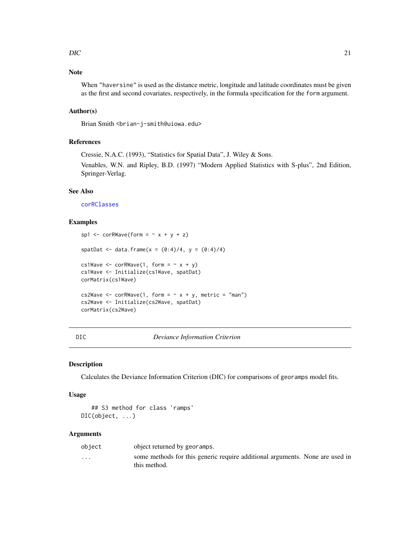## <span id="page-20-0"></span> $\overline{DIC}$  21

## Note

When "haversine" is used as the distance metric, longitude and latitude coordinates must be given as the first and second covariates, respectively, in the formula specification for the form argument.

## Author(s)

Brian Smith <br ian-j-smith@uiowa.edu>

## References

Cressie, N.A.C. (1993), "Statistics for Spatial Data", J. Wiley & Sons.

Venables, W.N. and Ripley, B.D. (1997) "Modern Applied Statistics with S-plus", 2nd Edition, Springer-Verlag.

## See Also

[corRClasses](#page-3-1)

## Examples

```
sp1 <- corRWave(form = \sim x + y + z)
spatDat <- data.frame(x = (0:4)/4, y = (0:4)/4)
cs1Wave \leq corRWave(1, form = \sim x + y)
cs1Wave <- Initialize(cs1Wave, spatDat)
corMatrix(cs1Wave)
cs2Wave <- corRWave(1, form = \sim x + y, metric = "man")
cs2Wave <- Initialize(cs2Wave, spatDat)
corMatrix(cs2Wave)
```

| × |  | ۰. | × |  |
|---|--|----|---|--|
|---|--|----|---|--|

DIC *Deviance Information Criterion*

#### <span id="page-20-1"></span>Description

Calculates the Deviance Information Criterion (DIC) for comparisons of georamps model fits.

## Usage

```
## S3 method for class 'ramps'
DIC(object, ...)
```
#### **Arguments**

| object   | object returned by georamps.                                                                 |  |
|----------|----------------------------------------------------------------------------------------------|--|
| $\cdots$ | some methods for this generic require additional arguments. None are used in<br>this method. |  |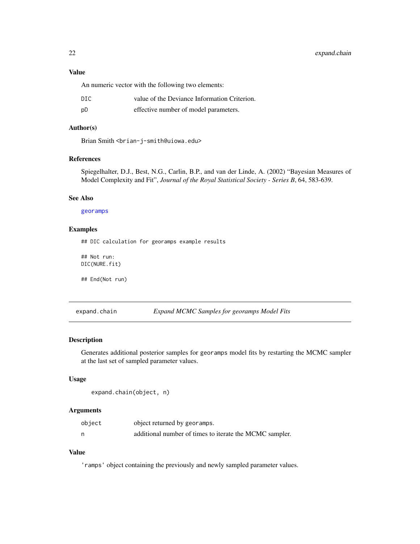## <span id="page-21-0"></span>Value

An numeric vector with the following two elements:

| DIC | value of the Deviance Information Criterion. |
|-----|----------------------------------------------|
| pD  | effective number of model parameters.        |

## Author(s)

Brian Smith <brian-j-smith@uiowa.edu>

## References

Spiegelhalter, D.J., Best, N.G., Carlin, B.P., and van der Linde, A. (2002) "Bayesian Measures of Model Complexity and Fit", *Journal of the Royal Statistical Society - Series B*, 64, 583-639.

## See Also

#### [georamps](#page-23-1)

## Examples

## DIC calculation for georamps example results

## Not run: DIC(NURE.fit)

## End(Not run)

expand.chain *Expand MCMC Samples for georamps Model Fits*

## Description

Generates additional posterior samples for georamps model fits by restarting the MCMC sampler at the last set of sampled parameter values.

#### Usage

```
expand.chain(object, n)
```
#### Arguments

| object | object returned by georamps.                            |
|--------|---------------------------------------------------------|
|        | additional number of times to iterate the MCMC sampler. |

## Value

'ramps' object containing the previously and newly sampled parameter values.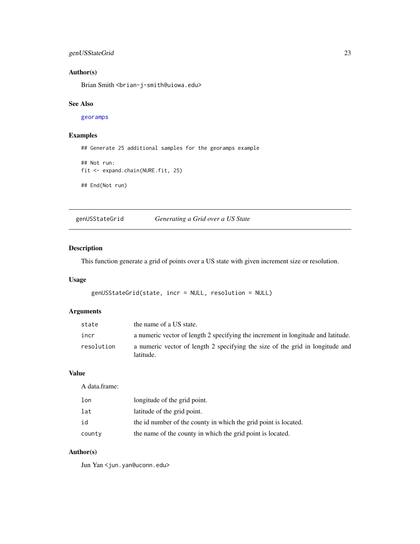## <span id="page-22-0"></span>genUSStateGrid 23

## Author(s)

Brian Smith <br ian-j-smith@uiowa.edu>

## See Also

[georamps](#page-23-1)

## Examples

## Generate 25 additional samples for the georamps example

```
## Not run:
fit <- expand.chain(NURE.fit, 25)
```

```
## End(Not run)
```
<span id="page-22-1"></span>genUSStateGrid *Generating a Grid over a US State*

## Description

This function generate a grid of points over a US state with given increment size or resolution.

## Usage

```
genUSStateGrid(state, incr = NULL, resolution = NULL)
```
## Arguments

| state      | the name of a US state.                                                                    |
|------------|--------------------------------------------------------------------------------------------|
| incr       | a numeric vector of length 2 specifying the increment in longitude and latitude.           |
| resolution | a numeric vector of length 2 specifying the size of the grid in longitude and<br>latitude. |

## Value

A data.frame:

| lon    | longitude of the grid point.                                    |
|--------|-----------------------------------------------------------------|
| lat    | latitude of the grid point.                                     |
| id     | the id number of the county in which the grid point is located. |
| county | the name of the county in which the grid point is located.      |

## Author(s)

Jun Yan <jun.yan@uconn.edu>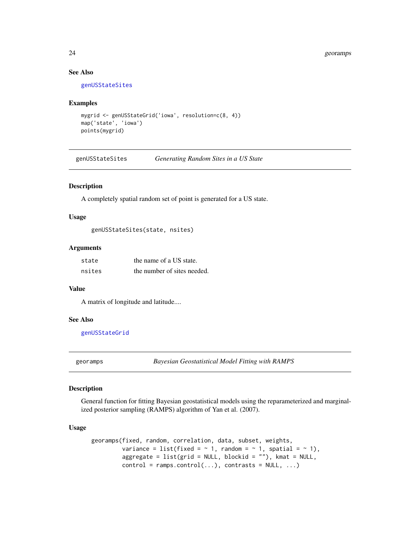## See Also

[genUSStateSites](#page-23-2)

## Examples

```
mygrid <- genUSStateGrid('iowa', resolution=c(8, 4))
map('state', 'iowa')
points(mygrid)
```
<span id="page-23-2"></span>genUSStateSites *Generating Random Sites in a US State*

## Description

A completely spatial random set of point is generated for a US state.

## Usage

genUSStateSites(state, nsites)

#### Arguments

| state  | the name of a US state.     |
|--------|-----------------------------|
| nsites | the number of sites needed. |

## Value

A matrix of longitude and latitude....

#### See Also

[genUSStateGrid](#page-22-1)

<span id="page-23-1"></span>georamps *Bayesian Geostatistical Model Fitting with RAMPS*

## Description

General function for fitting Bayesian geostatistical models using the reparameterized and marginalized posterior sampling (RAMPS) algorithm of Yan et al. (2007).

## Usage

```
georamps(fixed, random, correlation, data, subset, weights,
         variance = list(fixed = \sim 1, random = \sim 1, spatial = \sim 1),
         aggregate = list(grid = NULL, blockid = ""), kmat = NULL,
         control = ramps.control(...), contrasts = NULL, ...)
```
<span id="page-23-0"></span>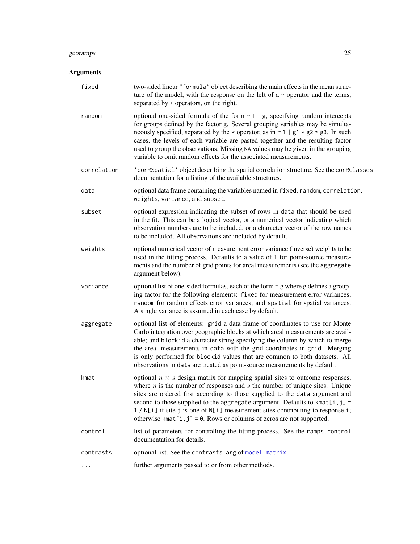#### <span id="page-24-0"></span>georamps 25

## Arguments

| fixed       | two-sided linear "formula" object describing the main effects in the mean struc-<br>ture of the model, with the response on the left of $a \sim$ operator and the terms,<br>separated by + operators, on the right.                                                                                                                                                                                                                                                                                                      |  |
|-------------|--------------------------------------------------------------------------------------------------------------------------------------------------------------------------------------------------------------------------------------------------------------------------------------------------------------------------------------------------------------------------------------------------------------------------------------------------------------------------------------------------------------------------|--|
| random      | optional one-sided formula of the form $\sim$ 1   g, specifying random intercepts<br>for groups defined by the factor g. Several grouping variables may be simulta-<br>neously specified, separated by the $\star$ operator, as in $\sim$ 1   g1 $\star$ g2 $\star$ g3. In such<br>cases, the levels of each variable are pasted together and the resulting factor<br>used to group the observations. Missing NA values may be given in the grouping<br>variable to omit random effects for the associated measurements. |  |
| correlation | 'corRSpatial' object describing the spatial correlation structure. See the corRClasses<br>documentation for a listing of the available structures.                                                                                                                                                                                                                                                                                                                                                                       |  |
| data        | optional data frame containing the variables named in fixed, random, correlation,<br>weights, variance, and subset.                                                                                                                                                                                                                                                                                                                                                                                                      |  |
| subset      | optional expression indicating the subset of rows in data that should be used<br>in the fit. This can be a logical vector, or a numerical vector indicating which<br>observation numbers are to be included, or a character vector of the row names<br>to be included. All observations are included by default.                                                                                                                                                                                                         |  |
| weights     | optional numerical vector of measurement error variance (inverse) weights to be<br>used in the fitting process. Defaults to a value of 1 for point-source measure-<br>ments and the number of grid points for areal measurements (see the aggregate<br>argument below).                                                                                                                                                                                                                                                  |  |
| variance    | optional list of one-sided formulas, each of the form $\sim$ g where g defines a group-<br>ing factor for the following elements: fixed for measurement error variances;<br>random for random effects error variances; and spatial for spatial variances.<br>A single variance is assumed in each case by default.                                                                                                                                                                                                       |  |
| aggregate   | optional list of elements: grid a data frame of coordinates to use for Monte<br>Carlo integration over geographic blocks at which areal measurements are avail-<br>able; and blockid a character string specifying the column by which to merge<br>the areal measurements in data with the grid coordinates in grid. Merging<br>is only performed for blockid values that are common to both datasets. All<br>observations in data are treated as point-source measurements by default.                                  |  |
| kmat        | optional $n \times s$ design matrix for mapping spatial sites to outcome responses,<br>where $n$ is the number of responses and $s$ the number of unique sites. Unique<br>sites are ordered first according to those supplied to the data argument and<br>second to those supplied to the aggregate argument. Defaults to kmat $[i, j]$ =<br>1 / N[i] if site j is one of N[i] measurement sites contributing to response i;<br>otherwise $kmat[i, j] = 0$ . Rows or columns of zeros are not supported.                 |  |
| control     | list of parameters for controlling the fitting process. See the ramps.control<br>documentation for details.                                                                                                                                                                                                                                                                                                                                                                                                              |  |
| contrasts   | optional list. See the contrasts. arg of model. matrix.                                                                                                                                                                                                                                                                                                                                                                                                                                                                  |  |
|             | further arguments passed to or from other methods.                                                                                                                                                                                                                                                                                                                                                                                                                                                                       |  |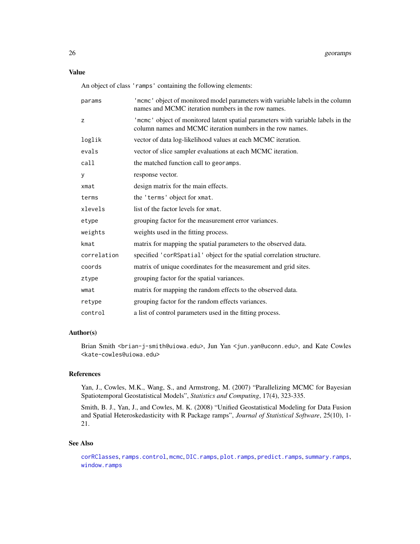<span id="page-25-0"></span>An object of class 'ramps' containing the following elements:

| params      | 'mcmc' object of monitored model parameters with variable labels in the column<br>names and MCMC iteration numbers in the row names.          |
|-------------|-----------------------------------------------------------------------------------------------------------------------------------------------|
| z           | 'mcmc' object of monitored latent spatial parameters with variable labels in the<br>column names and MCMC iteration numbers in the row names. |
| loglik      | vector of data log-likelihood values at each MCMC iteration.                                                                                  |
| evals       | vector of slice sampler evaluations at each MCMC iteration.                                                                                   |
| call        | the matched function call to georamps.                                                                                                        |
| У           | response vector.                                                                                                                              |
| xmat        | design matrix for the main effects.                                                                                                           |
| terms       | the 'terms' object for xmat.                                                                                                                  |
| xlevels     | list of the factor levels for xmat.                                                                                                           |
| etype       | grouping factor for the measurement error variances.                                                                                          |
| weights     | weights used in the fitting process.                                                                                                          |
| kmat        | matrix for mapping the spatial parameters to the observed data.                                                                               |
| correlation | specified 'corRSpatial' object for the spatial correlation structure.                                                                         |
| coords      | matrix of unique coordinates for the measurement and grid sites.                                                                              |
| ztype       | grouping factor for the spatial variances.                                                                                                    |
| wmat        | matrix for mapping the random effects to the observed data.                                                                                   |
| retype      | grouping factor for the random effects variances.                                                                                             |
| control     | a list of control parameters used in the fitting process.                                                                                     |

## Author(s)

Brian Smith <br ian-j-smith@uiowa.edu>, Jun Yan <jun.yan@uconn.edu>, and Kate Cowles <kate-cowles@uiowa.edu>

## References

Yan, J., Cowles, M.K., Wang, S., and Armstrong, M. (2007) "Parallelizing MCMC for Bayesian Spatiotemporal Geostatistical Models", *Statistics and Computing*, 17(4), 323-335.

Smith, B. J., Yan, J., and Cowles, M. K. (2008) "Unified Geostatistical Modeling for Data Fusion and Spatial Heteroskedasticity with R Package ramps", *Journal of Statistical Software*, 25(10), 1- 21.

## See Also

[corRClasses](#page-3-1), [ramps.control](#page-33-1), [mcmc](#page-0-0), [DIC.ramps](#page-20-1), [plot.ramps](#page-31-1), [predict.ramps](#page-32-1), [summary.ramps](#page-37-1), [window.ramps](#page-38-1)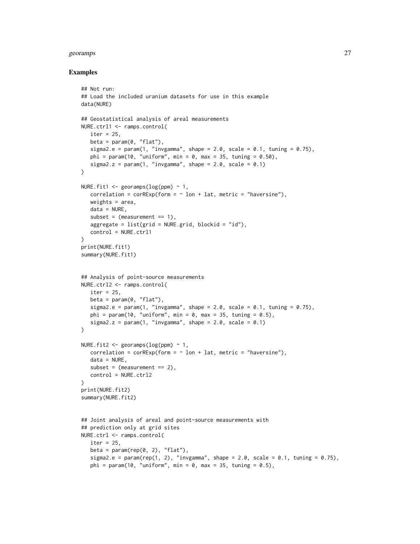#### georamps 27

#### Examples

```
## Not run:
## Load the included uranium datasets for use in this example
data(NURE)
## Geostatistical analysis of areal measurements
NURE.ctrl1 <- ramps.control(
   iter = 25,
   beta = param(0, "flat"),sigma2.e = param(1, "invgamma", shape = 2.0, scale = 0.1, tuning = 0.75),
   phi = param(10, "uniform", min = 0, max = 35, tuning = 0.50),
   sigma2.z = param(1, "invgamma", shape = 2.0, scale = 0.1)\lambdaNURE.fit1 \leq georamps(\log(ppm) \sim 1,
   correlation = corRExp(form = ~ 1on + lat, metric = "haversine"),weights = area,
  data = NURE,
   subset = (measurement == 1),
   aggregate = list(\text{grid} = \text{NURE}.\text{grid}, \text{blockid} = "id"),control = NURE.ctrl1
)
print(NURE.fit1)
summary(NURE.fit1)
## Analysis of point-source measurements
NURE.ctrl2 <- ramps.control(
  iter = 25,
  beta = param(0, "flat"),sigma2.e = param(1, "invgamma", shape = 2.0, scale = 0.1, tuning = 0.75),
   phi = param(10, "uniform", min = 0, max = 35, tuning = 0.5),
   sigma2.z = param(1, "invgamma", shape = 2.0, scale = 0.1))
NURE.fit2 \leq georamps(\log(ppm) \sim 1,
   correlation = corRExp(form = ~ 1on + lat, metric = "haversine"),data = NURE,subset = (measurement == 2),
   control = NURE.ctrl2
\lambdaprint(NURE.fit2)
summary(NURE.fit2)
## Joint analysis of areal and point-source measurements with
## prediction only at grid sites
NURE.ctrl <- ramps.control(
  iter = 25,
  beta = param(rep(0, 2), "flat"),
   sigma2.e = param(rep(1, 2), "invgamma", shape = 2.0, scale = 0.1, tuning = 0.75),
   phi = param(10, "uniform", min = 0, max = 35, tuning = 0.5),
```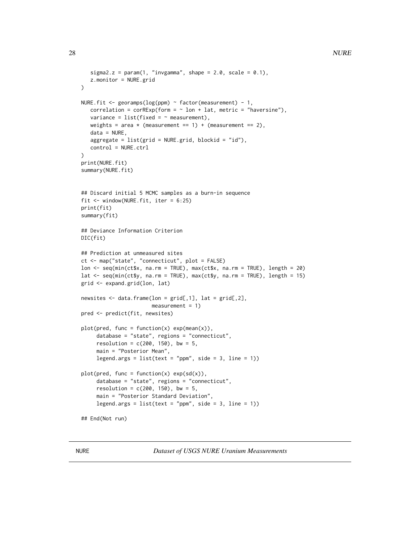```
sigma2.z = param(1, "invgamma", shape = 2.0, scale = 0.1),z.monitor = NURE.grid
\mathcal{L}NURE.fit <- georamps(log(ppm) ~ factor(measurement) - 1,
   correlation = corRExp(from = ~ 1on + lat, metric = "haversine"),variance = list(fixed = ~ meanweights = area * (measurement == 1) + (measurement == 2),
   data = NURE,
   aggregate = list(grid = NURE.grid, blockid = "id"),control = NURE.ctrl
\mathcal{L}print(NURE.fit)
summary(NURE.fit)
## Discard initial 5 MCMC samples as a burn-in sequence
fit <- window(NURE.fit, iter = 6:25)
print(fit)
summary(fit)
## Deviance Information Criterion
DIC(fit)
## Prediction at unmeasured sites
ct <- map("state", "connecticut", plot = FALSE)
lon <- seq(min(ct$x, na.rm = TRUE), max(ct$x, na.rm = TRUE), length = 20)
lat <- seq(min(ct$y, na.rm = TRUE), max(ct$y, na.rm = TRUE), length = 15)
grid <- expand.grid(lon, lat)
newsites <- data.frame(lon = grid[,1], lat = grid[,2],
                       measurement = 1)
pred <- predict(fit, newsites)
plot(pred, func = function(x) exp(mean(x)),database = "state", regions = "connecticut",
     resolution = c(200, 150), bw = 5,
     main = "Posterior Mean",
     legend.args = list(text = "ppm", side = 3, line = 1))
plot(pred, func = function(x) exp(sd(x)),database = "state", regions = "connecticut",
     resolution = c(200, 150), bw = 5,
     main = "Posterior Standard Deviation",
     legend.args = list(text = "ppm", side = 3, line = 1))
## End(Not run)
```
NURE *Dataset of USGS NURE Uranium Measurements*

<span id="page-27-0"></span>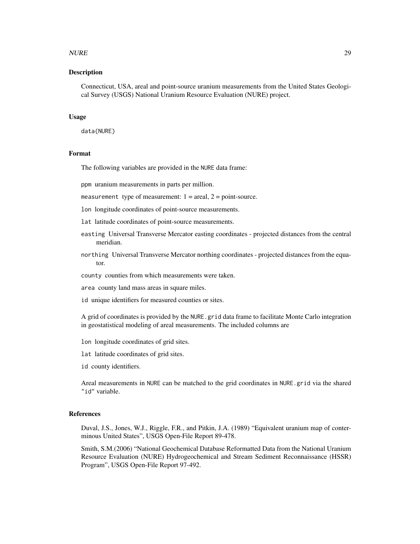#### $NURE$  29

## Description

Connecticut, USA, areal and point-source uranium measurements from the United States Geological Survey (USGS) National Uranium Resource Evaluation (NURE) project.

#### Usage

data(NURE)

#### Format

The following variables are provided in the NURE data frame:

ppm uranium measurements in parts per million.

measurement type of measurement:  $1 = \text{areal}, 2 = \text{point-source}.$ 

lon longitude coordinates of point-source measurements.

lat latitude coordinates of point-source measurements.

- easting Universal Transverse Mercator easting coordinates projected distances from the central meridian.
- northing Universal Transverse Mercator northing coordinates projected distances from the equator.

county counties from which measurements were taken.

area county land mass areas in square miles.

id unique identifiers for measured counties or sites.

A grid of coordinates is provided by the NURE.grid data frame to facilitate Monte Carlo integration in geostatistical modeling of areal measurements. The included columns are

lon longitude coordinates of grid sites.

- lat latitude coordinates of grid sites.
- id county identifiers.

Areal measurements in NURE can be matched to the grid coordinates in NURE.grid via the shared "id" variable.

## **References**

Duval, J.S., Jones, W.J., Riggle, F.R., and Pitkin, J.A. (1989) "Equivalent uranium map of conterminous United States", USGS Open-File Report 89-478.

Smith, S.M.(2006) "National Geochemical Database Reformatted Data from the National Uranium Resource Evaluation (NURE) Hydrogeochemical and Stream Sediment Reconnaissance (HSSR) Program", USGS Open-File Report 97-492.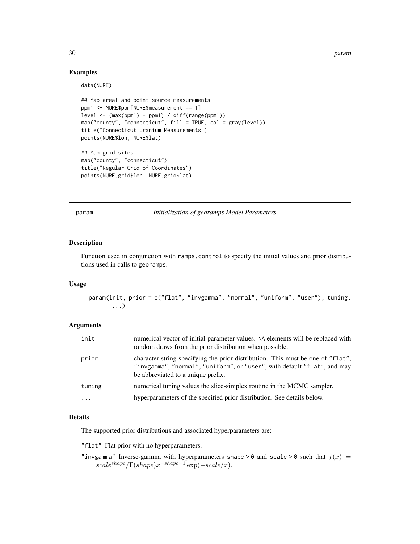30 param

## Examples

data(NURE)

```
## Map areal and point-source measurements
ppm1 <- NURE$ppm[NURE$measurement == 1]
level <- (max(ppm1) - ppm1) / diff(range(ppm1))
map("county", "connecticut", fill = TRUE, col = gray(level))
title("Connecticut Uranium Measurements")
points(NURE$lon, NURE$lat)
## Map grid sites
map("county", "connecticut")
title("Regular Grid of Coordinates")
points(NURE.grid$lon, NURE.grid$lat)
```
<span id="page-29-1"></span>param *Initialization of georamps Model Parameters*

#### Description

Function used in conjunction with ramps.control to specify the initial values and prior distributions used in calls to georamps.

#### Usage

```
param(init, prior = c("flat", "invgamma", "normal", "uniform", "user"), tuning,
       ...)
```
#### Arguments

| init     | numerical vector of initial parameter values. NA elements will be replaced with<br>random draws from the prior distribution when possible.                                                        |
|----------|---------------------------------------------------------------------------------------------------------------------------------------------------------------------------------------------------|
| prior    | character string specifying the prior distribution. This must be one of "flat",<br>"invgamma", "normal", "uniform", or "user", with default "flat", and may<br>be abbreviated to a unique prefix. |
| tuning   | numerical tuning values the slice-simplex routine in the MCMC sampler.                                                                                                                            |
| $\cdots$ | hyperparameters of the specified prior distribution. See details below.                                                                                                                           |

#### Details

The supported prior distributions and associated hyperparameters are:

"flat" Flat prior with no hyperparameters.

"invgamma" Inverse-gamma with hyperparameters shape > 0 and scale > 0 such that  $f(x) =$  $scale^{shape}/\Gamma(shape)x^{-shape-1}$  exp( $-scale/x$ ).

<span id="page-29-0"></span>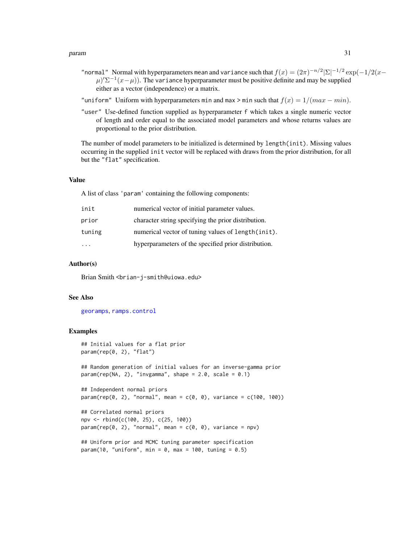#### <span id="page-30-0"></span>param 31

- "normal" Normal with hyperparameters mean and variance such that  $f(x) = (2\pi)^{-n/2} |\Sigma|^{-1/2} \exp(-1/2(x-\Sigma))$  $\mu$ )' $\Sigma^{-1}(x-\mu)$ ). The variance hyperparameter must be positive definite and may be supplied either as a vector (independence) or a matrix.
- "uniform" Uniform with hyperparameters min and max > min such that  $f(x) = 1/(max min)$ .
- "user" Use-defined function supplied as hyperparameter f which takes a single numeric vector of length and order equal to the associated model parameters and whose returns values are proportional to the prior distribution.

The number of model parameters to be initialized is determined by length(init). Missing values occurring in the supplied init vector will be replaced with draws from the prior distribution, for all but the "flat" specification.

#### Value

A list of class 'param' containing the following components:

| init   | numerical vector of initial parameter values.        |
|--------|------------------------------------------------------|
| prior  | character string specifying the prior distribution.  |
| tuning | numerical vector of tuning values of length(init).   |
|        | hyperparameters of the specified prior distribution. |

#### Author(s)

Brian Smith <br ian-j-smith@uiowa.edu>

#### See Also

[georamps](#page-23-1), [ramps.control](#page-33-1)

#### Examples

```
## Initial values for a flat prior
param(rep(0, 2), "flat")
## Random generation of initial values for an inverse-gamma prior
param(rep(NA, 2), "invgamma", shape = 2.0, scale = 0.1)
## Independent normal priors
param(rep(0, 2), "normal", mean = c(0, 0), variance = c(100, 100))
## Correlated normal priors
npv <- rbind(c(100, 25), c(25, 100))
param(rep(0, 2), "normal", mean = c(0, 0), variance = npv)## Uniform prior and MCMC tuning parameter specification
param(10, "uniform", min = 0, max = 100, tuning = 0.5)
```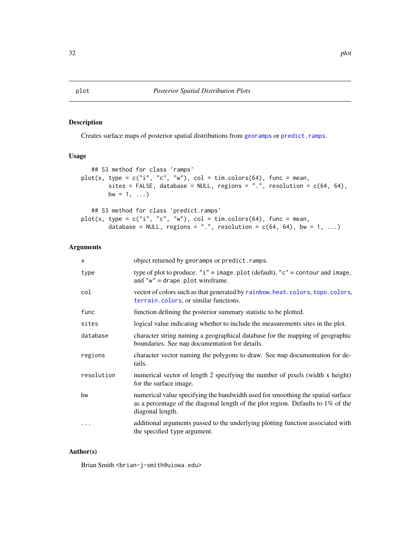## <span id="page-31-1"></span><span id="page-31-0"></span>Description

Creates surface maps of posterior spatial distributions from [georamps](#page-23-1) or [predict.ramps](#page-32-1).

## Usage

```
## S3 method for class 'ramps'
plot(x, type = c("i", "c", "w"), col = tim.colors(64), func = mean,
        sites = FALSE, database = NULL, regions = ".", resolution = c(64, 64),
        bw = 1, \ldots)
```

```
## S3 method for class 'predict.ramps'
plot(x, type = c("i", "c", "w"), col = tim.colors(64), func = mean,database = NULL, regions = ".", resolution = c(64, 64), bw = 1, ...)
```
## Arguments

| $\mathsf{x}$ | object returned by georamps or predict. ramps.                                                                                                                                          |
|--------------|-----------------------------------------------------------------------------------------------------------------------------------------------------------------------------------------|
| type         | type of plot to produce: " $i$ " = image.plot (default), "c" = contour and image,<br>and $"w" = drape.plot wireframe.$                                                                  |
| col          | vector of colors such as that generated by rainbow, heat.colors, topo.colors,<br>terrain.colors, or similar functions.                                                                  |
| func         | function defining the posterior summary statistic to be plotted.                                                                                                                        |
| sites        | logical value indicating whether to include the measurements sites in the plot.                                                                                                         |
| database     | character string naming a geographical database for the mapping of geographic<br>boundaries. See map documentation for details.                                                         |
| regions      | character vector naming the polygons to draw. See map documentation for de-<br>tails.                                                                                                   |
| resolution   | numerical vector of length 2 specifying the number of pixels (width x height)<br>for the surface image.                                                                                 |
| bw           | numerical value specifying the bandwidth used for smoothing the spatial surface<br>as a percentage of the diagonal length of the plot region. Defaults to 1% of the<br>diagonal length. |
| $\cdots$     | additional arguments passed to the underlying plotting function associated with<br>the specified type argument.                                                                         |

#### Author(s)

Brian Smith <br />brian-j-smith@uiowa.edu>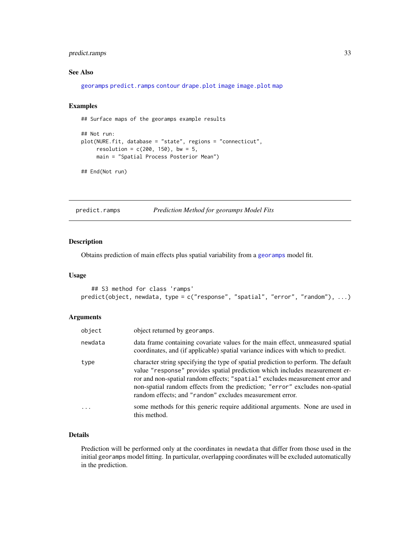## <span id="page-32-0"></span>predict.ramps 33

## See Also

[georamps](#page-23-1) [predict.ramps](#page-32-1) [contour](#page-0-0) [drape.plot](#page-0-0) [image](#page-0-0) [image.plot](#page-0-0) [map](#page-0-0)

## Examples

## Surface maps of the georamps example results

```
## Not run:
plot(NURE.fit, database = "state", regions = "connecticut",
    resolution = c(200, 150), bw = 5,
    main = "Spatial Process Posterior Mean")
```
## End(Not run)

<span id="page-32-1"></span>predict.ramps *Prediction Method for georamps Model Fits*

## Description

Obtains prediction of main effects plus spatial variability from a [georamps](#page-23-1) model fit.

## Usage

```
## S3 method for class 'ramps'
predict(object, newdata, type = c("response", "spatial", "error", "random"), ...)
```
## Arguments

| object  | object returned by georamps.                                                                                                                                                                                                                                                                                                                                                                  |
|---------|-----------------------------------------------------------------------------------------------------------------------------------------------------------------------------------------------------------------------------------------------------------------------------------------------------------------------------------------------------------------------------------------------|
| newdata | data frame containing covariate values for the main effect, unmeasured spatial<br>coordinates, and (if applicable) spatial variance indices with which to predict.                                                                                                                                                                                                                            |
| type    | character string specifying the type of spatial prediction to perform. The default<br>value "response" provides spatial prediction which includes measurement er-<br>ror and non-spatial random effects; "spatial" excludes measurement error and<br>non-spatial random effects from the prediction; "error" excludes non-spatial<br>random effects; and "random" excludes measurement error. |
| .       | some methods for this generic require additional arguments. None are used in<br>this method.                                                                                                                                                                                                                                                                                                  |

## Details

Prediction will be performed only at the coordinates in newdata that differ from those used in the initial georamps model fitting. In particular, overlapping coordinates will be excluded automatically in the prediction.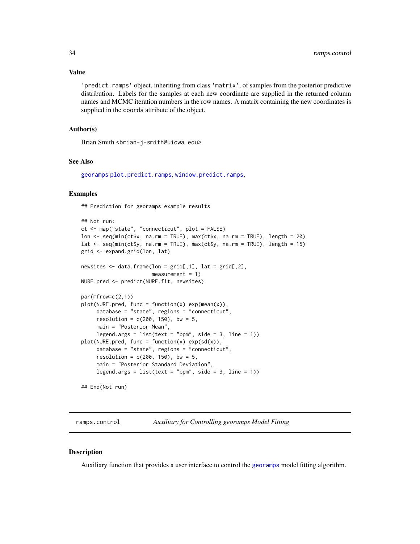## <span id="page-33-0"></span>Value

'predict.ramps' object, inheriting from class 'matrix', of samples from the posterior predictive distribution. Labels for the samples at each new coordinate are supplied in the returned column names and MCMC iteration numbers in the row names. A matrix containing the new coordinates is supplied in the coords attribute of the object.

## Author(s)

Brian Smith <brian-j-smith@uiowa.edu>

#### See Also

[georamps](#page-23-1) [plot.predict.ramps](#page-31-1), [window.predict.ramps](#page-38-1),

#### Examples

## Prediction for georamps example results

```
## Not run:
ct <- map("state", "connecticut", plot = FALSE)
lon <- seq(min(ct$x, na.rm = TRUE), max(ct$x, na.rm = TRUE), length = 20)
lat \leq seq(min(ct$y, na.rm = TRUE), max(ct$y, na.rm = TRUE), length = 15)
grid <- expand.grid(lon, lat)
newsites \leq data.frame(lon = grid[,1], lat = grid[,2],
                       measurement = 1NURE.pred <- predict(NURE.fit, newsites)
par(mfrow=c(2,1))
plot(NURE.pred, func = function(x) exp(mean(x)),database = "state", regions = "connecticut",
     resolution = c(200, 150), bw = 5,
    main = "Posterior Mean",
     legend.args = list(text = "ppm", side = 3, line = 1))
plot(NURE.pred, func = function(x) exp(sd(x)),database = "state", regions = "connecticut",
     resolution = c(200, 150), bw = 5,
    main = "Posterior Standard Deviation",
    legend.args = list(text = "ppm", side = 3, line = 1))## End(Not run)
```
<span id="page-33-1"></span>

ramps.control *Auxiliary for Controlling georamps Model Fitting*

#### Description

Auxiliary function that provides a user interface to control the [georamps](#page-23-1) model fitting algorithm.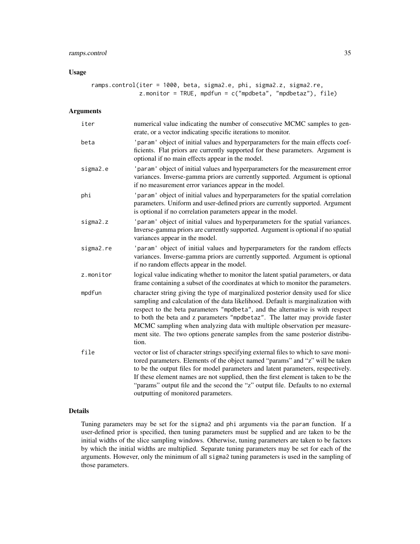## Usage

ramps.control(iter = 1000, beta, sigma2.e, phi, sigma2.z, sigma2.re, z.monitor = TRUE, mpdfun = c("mpdbeta", "mpdbetaz"), file)

## Arguments

| iter      | numerical value indicating the number of consecutive MCMC samples to gen-<br>erate, or a vector indicating specific iterations to monitor.                                                                                                                                                                                                                                                                                                                                                                  |
|-----------|-------------------------------------------------------------------------------------------------------------------------------------------------------------------------------------------------------------------------------------------------------------------------------------------------------------------------------------------------------------------------------------------------------------------------------------------------------------------------------------------------------------|
| beta      | 'param' object of initial values and hyperparameters for the main effects coef-<br>ficients. Flat priors are currently supported for these parameters. Argument is<br>optional if no main effects appear in the model.                                                                                                                                                                                                                                                                                      |
| sigma2.e  | 'param' object of initial values and hyperparameters for the measurement error<br>variances. Inverse-gamma priors are currently supported. Argument is optional<br>if no measurement error variances appear in the model.                                                                                                                                                                                                                                                                                   |
| phi       | 'param' object of initial values and hyperparameters for the spatial correlation<br>parameters. Uniform and user-defined priors are currently supported. Argument<br>is optional if no correlation parameters appear in the model.                                                                                                                                                                                                                                                                          |
| sigma2.z  | 'param' object of initial values and hyperparameters for the spatial variances.<br>Inverse-gamma priors are currently supported. Argument is optional if no spatial<br>variances appear in the model.                                                                                                                                                                                                                                                                                                       |
| sigma2.re | 'param' object of initial values and hyperparameters for the random effects<br>variances. Inverse-gamma priors are currently supported. Argument is optional<br>if no random effects appear in the model.                                                                                                                                                                                                                                                                                                   |
| z.monitor | logical value indicating whether to monitor the latent spatial parameters, or data<br>frame containing a subset of the coordinates at which to monitor the parameters.                                                                                                                                                                                                                                                                                                                                      |
| mpdfun    | character string giving the type of marginalized posterior density used for slice<br>sampling and calculation of the data likelihood. Default is marginalization with<br>respect to the beta parameters "mpdbeta", and the alternative is with respect<br>to both the beta and z parameters "mpdbetaz". The latter may provide faster<br>MCMC sampling when analyzing data with multiple observation per measure-<br>ment site. The two options generate samples from the same posterior distribu-<br>tion. |
| file      | vector or list of character strings specifying external files to which to save moni-<br>tored parameters. Elements of the object named "params" and "z" will be taken<br>to be the output files for model parameters and latent parameters, respectively.<br>If these element names are not supplied, then the first element is taken to be the<br>"params" output file and the second the "z" output file. Defaults to no external<br>outputting of monitored parameters.                                  |

## Details

Tuning parameters may be set for the sigma2 and phi arguments via the param function. If a user-defined prior is specified, then tuning parameters must be supplied and are taken to be the initial widths of the slice sampling windows. Otherwise, tuning parameters are taken to be factors by which the initial widths are multiplied. Separate tuning parameters may be set for each of the arguments. However, only the minimum of all sigma2 tuning parameters is used in the sampling of those parameters.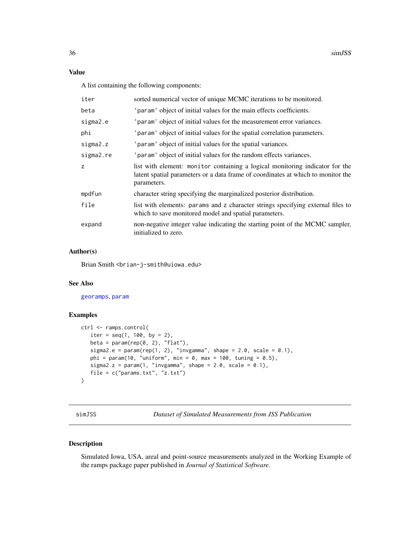## <span id="page-35-0"></span>Value

A list containing the following components:

| iter      | sorted numerical vector of unique MCMC iterations to be monitored.                                                                                                              |
|-----------|---------------------------------------------------------------------------------------------------------------------------------------------------------------------------------|
| beta      | 'param' object of initial values for the main effects coefficients.                                                                                                             |
| sigma2.e  | 'param' object of initial values for the measurement error variances.                                                                                                           |
| phi       | 'param' object of initial values for the spatial correlation parameters.                                                                                                        |
| sigma2.z  | 'param' object of initial values for the spatial variances.                                                                                                                     |
| sigma2.re | 'param' object of initial values for the random effects variances.                                                                                                              |
| Z.        | list with element: monitor containing a logical monitoring indicator for the<br>latent spatial parameters or a data frame of coordinates at which to monitor the<br>parameters. |
| mpdfun    | character string specifying the marginalized posterior distribution.                                                                                                            |
| file      | list with elements: params and z character strings specifying external files to<br>which to save monitored model and spatial parameters.                                        |
| expand    | non-negative integer value indicating the starting point of the MCMC sampler,<br>initialized to zero.                                                                           |
|           |                                                                                                                                                                                 |

## Author(s)

Brian Smith <br ian-j-smith@uiowa.edu>

## See Also

[georamps](#page-23-1), [param](#page-29-1)

#### Examples

```
ctrl <- ramps.control(
  iter = seq(1, 100, by = 2),
  beta = param(rep(0, 2), "flat"),sigma2.e = param(rep(1, 2), "invgamma", shape = 2.0, scale = 0.1),
  phi = param(10, "uniform", min = 0, max = 100, tuning = 0.5),
  sigma2.z = param(1, "invgamma", shape = 2.0, scale = 0.1),file = c("params.txt", "z.txt")
\mathcal{L}
```
simJSS *Dataset of Simulated Measurements from JSS Publication*

## Description

Simulated Iowa, USA, areal and point-source measurements analyzed in the Working Example of the ramps package paper published in *Journal of Statistical Software*.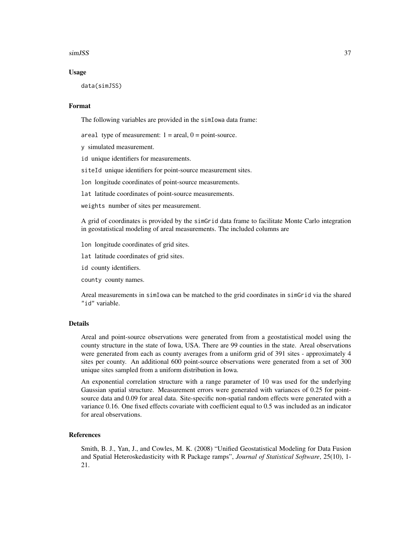#### simJSS 37

#### Usage

data(simJSS)

## Format

The following variables are provided in the simIowa data frame:

areal type of measurement:  $1 = \text{areal}, 0 = \text{point-source}.$ 

y simulated measurement.

id unique identifiers for measurements.

siteId unique identifiers for point-source measurement sites.

lon longitude coordinates of point-source measurements.

lat latitude coordinates of point-source measurements.

weights number of sites per measurement.

A grid of coordinates is provided by the simGrid data frame to facilitate Monte Carlo integration in geostatistical modeling of areal measurements. The included columns are

lon longitude coordinates of grid sites.

lat latitude coordinates of grid sites.

id county identifiers.

county county names.

Areal measurements in simIowa can be matched to the grid coordinates in simGrid via the shared "id" variable.

#### **Details**

Areal and point-source observations were generated from from a geostatistical model using the county structure in the state of Iowa, USA. There are 99 counties in the state. Areal observations were generated from each as county averages from a uniform grid of 391 sites - approximately 4 sites per county. An additional 600 point-source observations were generated from a set of 300 unique sites sampled from a uniform distribution in Iowa.

An exponential correlation structure with a range parameter of 10 was used for the underlying Gaussian spatial structure. Measurement errors were generated with variances of 0.25 for pointsource data and 0.09 for areal data. Site-specific non-spatial random effects were generated with a variance 0.16. One fixed effects covariate with coefficient equal to 0.5 was included as an indicator for areal observations.

#### References

Smith, B. J., Yan, J., and Cowles, M. K. (2008) "Unified Geostatistical Modeling for Data Fusion and Spatial Heteroskedasticity with R Package ramps", *Journal of Statistical Software*, 25(10), 1- 21.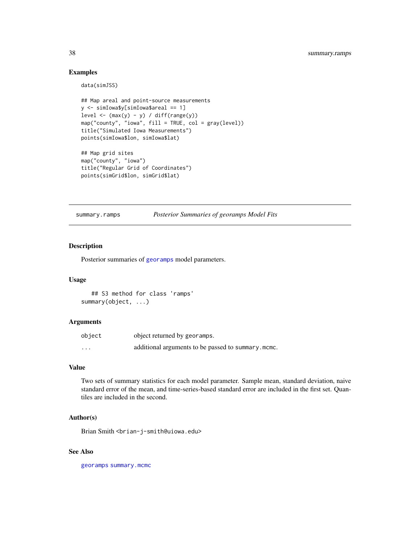## Examples

data(simJSS)

```
## Map areal and point-source measurements
y <- simIowa$y[simIowa$areal == 1]
level \leftarrow (max(y) - y) / diff(range(y))
map("county", "iowa", fill = TRUE, col = gray(level))
title("Simulated Iowa Measurements")
points(simIowa$lon, simIowa$lat)
## Map grid sites
map("county", "iowa")
title("Regular Grid of Coordinates")
points(simGrid$lon, simGrid$lat)
```
<span id="page-37-1"></span>summary.ramps *Posterior Summaries of georamps Model Fits*

## Description

Posterior summaries of [georamps](#page-23-1) model parameters.

## Usage

## S3 method for class 'ramps' summary(object, ...)

#### Arguments

| object | object returned by georamps.                       |
|--------|----------------------------------------------------|
| .      | additional arguments to be passed to summary.mcmc. |

## Value

Two sets of summary statistics for each model parameter. Sample mean, standard deviation, naive standard error of the mean, and time-series-based standard error are included in the first set. Quantiles are included in the second.

## Author(s)

Brian Smith <brian-j-smith@uiowa.edu>

#### See Also

[georamps](#page-23-1) [summary.mcmc](#page-0-0)

<span id="page-37-0"></span>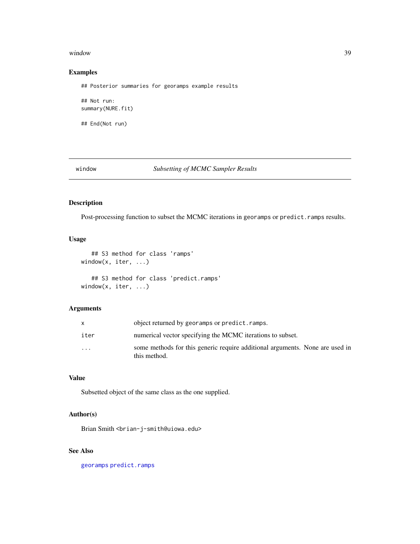#### <span id="page-38-0"></span>window 39

## Examples

## Posterior summaries for georamps example results

## Not run: summary(NURE.fit)

## End(Not run)

window *Subsetting of MCMC Sampler Results*

## <span id="page-38-1"></span>Description

Post-processing function to subset the MCMC iterations in georamps or predict.ramps results.

## Usage

```
## S3 method for class 'ramps'
window(x, iter, ...)
   ## S3 method for class 'predict.ramps'
window(x, iter, ...)
```
## Arguments

|                         | object returned by georamps or predict. ramps.                                               |
|-------------------------|----------------------------------------------------------------------------------------------|
| iter                    | numerical vector specifying the MCMC iterations to subset.                                   |
| $\cdot$ $\cdot$ $\cdot$ | some methods for this generic require additional arguments. None are used in<br>this method. |

## Value

Subsetted object of the same class as the one supplied.

## Author(s)

Brian Smith <br ian-j-smith@uiowa.edu>

## See Also

[georamps](#page-23-1) [predict.ramps](#page-32-1)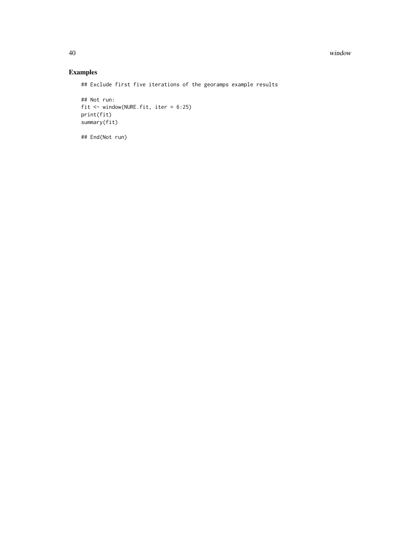40 window

## Examples

## Exclude first five iterations of the georamps example results

```
## Not run:
fit <- window(NURE.fit, iter = 6:25)
print(fit)
summary(fit)
```
## End(Not run)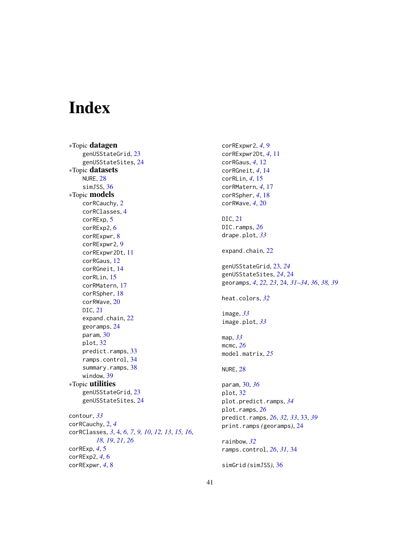# <span id="page-40-0"></span>Index

∗Topic datagen genUSStateGrid, [23](#page-22-0) genUSStateSites, [24](#page-23-0) ∗Topic datasets NURE, [28](#page-27-0) simJSS, [36](#page-35-0) ∗Topic models corRCauchy, [2](#page-1-0) corRClasses, [4](#page-3-0) corRExp, [5](#page-4-0) corRExp2, [6](#page-5-0) corRExpwr, [8](#page-7-0) corRExpwr2, [9](#page-8-0) corRExpwr2Dt, [11](#page-10-0) corRGaus, [12](#page-11-0) corRGneit, [14](#page-13-0) corRLin, [15](#page-14-0) corRMatern, [17](#page-16-0) corRSpher, [18](#page-17-0) corRWave, [20](#page-19-0) DIC, [21](#page-20-0) expand.chain, [22](#page-21-0) georamps, [24](#page-23-0) param, [30](#page-29-0) plot, [32](#page-31-0) predict.ramps, [33](#page-32-0) ramps.control, [34](#page-33-0) summary.ramps, [38](#page-37-0) window, [39](#page-38-0) ∗Topic utilities genUSStateGrid, [23](#page-22-0) genUSStateSites, [24](#page-23-0) contour, *[33](#page-32-0)* corRCauchy, [2,](#page-1-0) *[4](#page-3-0)* corRClasses, *[3](#page-2-0)*, [4,](#page-3-0) *[6,](#page-5-0) [7](#page-6-0)*, *[9,](#page-8-0) [10](#page-9-0)*, *[12,](#page-11-0) [13](#page-12-0)*, *[15,](#page-14-0) [16](#page-15-0)*, *[18,](#page-17-0) [19](#page-18-0)*, *[21](#page-20-0)*, *[26](#page-25-0)* corRExp, *[4](#page-3-0)*, [5](#page-4-0) corRExp2, *[4](#page-3-0)*, [6](#page-5-0) corRExpwr, *[4](#page-3-0)*, [8](#page-7-0)

corRExpwr2, *[4](#page-3-0)*, [9](#page-8-0) corRExpwr2Dt, *[4](#page-3-0)*, [11](#page-10-0) corRGaus, *[4](#page-3-0)*, [12](#page-11-0) corRGneit, *[4](#page-3-0)*, [14](#page-13-0) corRLin, *[4](#page-3-0)*, [15](#page-14-0) corRMatern, *[4](#page-3-0)*, [17](#page-16-0) corRSpher, *[4](#page-3-0)*, [18](#page-17-0) corRWave, *[4](#page-3-0)*, [20](#page-19-0) DIC, [21](#page-20-0) DIC.ramps, *[26](#page-25-0)* drape.plot, *[33](#page-32-0)* expand.chain, [22](#page-21-0) genUSStateGrid, [23,](#page-22-0) *[24](#page-23-0)* genUSStateSites, *[24](#page-23-0)*, [24](#page-23-0) georamps, *[4](#page-3-0)*, *[22,](#page-21-0) [23](#page-22-0)*, [24,](#page-23-0) *[31](#page-30-0)[–34](#page-33-0)*, *[36](#page-35-0)*, *[38,](#page-37-0) [39](#page-38-0)* heat.colors, *[32](#page-31-0)* image, *[33](#page-32-0)* image.plot, *[33](#page-32-0)* map, *[33](#page-32-0)* mcmc, *[26](#page-25-0)* model.matrix, *[25](#page-24-0)* NURE, [28](#page-27-0) param, [30,](#page-29-0) *[36](#page-35-0)* plot, [32](#page-31-0) plot.predict.ramps, *[34](#page-33-0)* plot.ramps, *[26](#page-25-0)* predict.ramps, *[26](#page-25-0)*, *[32,](#page-31-0) [33](#page-32-0)*, [33,](#page-32-0) *[39](#page-38-0)* print.ramps *(*georamps*)*, [24](#page-23-0) rainbow, *[32](#page-31-0)* ramps.control, *[26](#page-25-0)*, *[31](#page-30-0)*, [34](#page-33-0) simGrid *(*simJSS*)*, [36](#page-35-0)